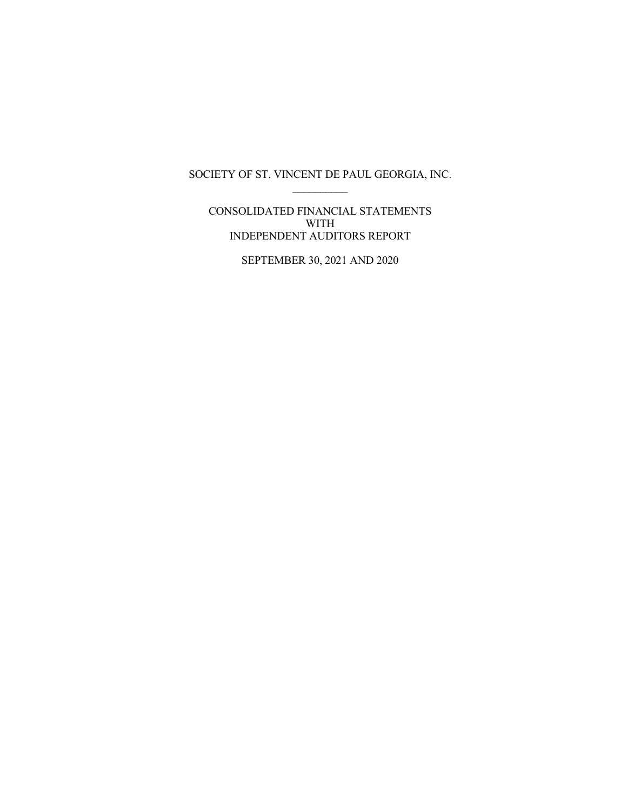#### SOCIETY OF ST. VINCENT DE PAUL GEORGIA, INC.  $\mathcal{L}_\text{max}$

CONSOLIDATED FINANCIAL STATEMENTS WITH INDEPENDENT AUDITORS REPORT

SEPTEMBER 30, 2021 AND 2020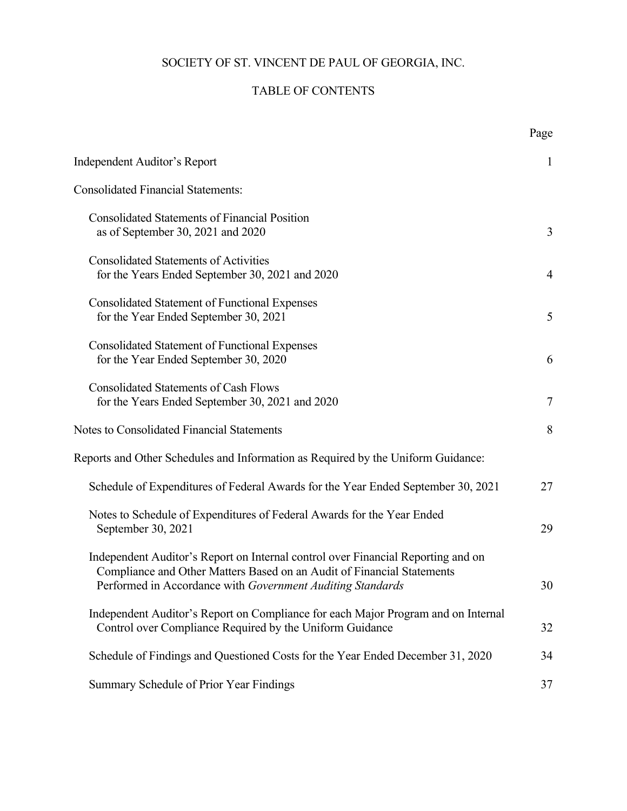# SOCIETY OF ST. VINCENT DE PAUL OF GEORGIA, INC.

# TABLE OF CONTENTS

|                                                                                                                                                                                                                          | Page           |
|--------------------------------------------------------------------------------------------------------------------------------------------------------------------------------------------------------------------------|----------------|
| Independent Auditor's Report                                                                                                                                                                                             | -1             |
| <b>Consolidated Financial Statements:</b>                                                                                                                                                                                |                |
| <b>Consolidated Statements of Financial Position</b><br>as of September 30, 2021 and 2020                                                                                                                                | 3              |
| <b>Consolidated Statements of Activities</b><br>for the Years Ended September 30, 2021 and 2020                                                                                                                          | $\overline{4}$ |
| <b>Consolidated Statement of Functional Expenses</b><br>for the Year Ended September 30, 2021                                                                                                                            | 5              |
| <b>Consolidated Statement of Functional Expenses</b><br>for the Year Ended September 30, 2020                                                                                                                            | 6              |
| <b>Consolidated Statements of Cash Flows</b><br>for the Years Ended September 30, 2021 and 2020                                                                                                                          | $\overline{7}$ |
| Notes to Consolidated Financial Statements                                                                                                                                                                               | 8              |
| Reports and Other Schedules and Information as Required by the Uniform Guidance:                                                                                                                                         |                |
| Schedule of Expenditures of Federal Awards for the Year Ended September 30, 2021                                                                                                                                         | 27             |
| Notes to Schedule of Expenditures of Federal Awards for the Year Ended<br>September 30, 2021                                                                                                                             | 29             |
| Independent Auditor's Report on Internal control over Financial Reporting and on<br>Compliance and Other Matters Based on an Audit of Financial Statements<br>Performed in Accordance with Government Auditing Standards | 30             |
| Independent Auditor's Report on Compliance for each Major Program and on Internal<br>Control over Compliance Required by the Uniform Guidance                                                                            | 32             |
| Schedule of Findings and Questioned Costs for the Year Ended December 31, 2020                                                                                                                                           | 34             |
| Summary Schedule of Prior Year Findings                                                                                                                                                                                  | 37             |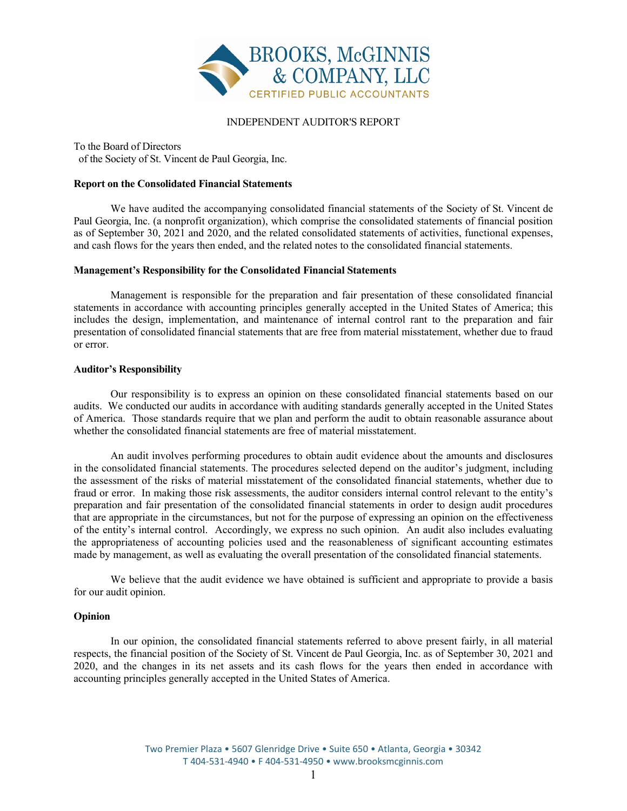

#### INDEPENDENT AUDITOR'S REPORT

To the Board of Directors of the Society of St. Vincent de Paul Georgia, Inc.

#### **Report on the Consolidated Financial Statements**

 We have audited the accompanying consolidated financial statements of the Society of St. Vincent de Paul Georgia, Inc. (a nonprofit organization), which comprise the consolidated statements of financial position as of September 30, 2021 and 2020, and the related consolidated statements of activities, functional expenses, and cash flows for the years then ended, and the related notes to the consolidated financial statements.

#### **Management's Responsibility for the Consolidated Financial Statements**

 Management is responsible for the preparation and fair presentation of these consolidated financial statements in accordance with accounting principles generally accepted in the United States of America; this includes the design, implementation, and maintenance of internal control rant to the preparation and fair presentation of consolidated financial statements that are free from material misstatement, whether due to fraud or error.

#### **Auditor's Responsibility**

Our responsibility is to express an opinion on these consolidated financial statements based on our audits. We conducted our audits in accordance with auditing standards generally accepted in the United States of America. Those standards require that we plan and perform the audit to obtain reasonable assurance about whether the consolidated financial statements are free of material misstatement.

 An audit involves performing procedures to obtain audit evidence about the amounts and disclosures in the consolidated financial statements. The procedures selected depend on the auditor's judgment, including the assessment of the risks of material misstatement of the consolidated financial statements, whether due to fraud or error. In making those risk assessments, the auditor considers internal control relevant to the entity's preparation and fair presentation of the consolidated financial statements in order to design audit procedures that are appropriate in the circumstances, but not for the purpose of expressing an opinion on the effectiveness of the entity's internal control. Accordingly, we express no such opinion. An audit also includes evaluating the appropriateness of accounting policies used and the reasonableness of significant accounting estimates made by management, as well as evaluating the overall presentation of the consolidated financial statements.

We believe that the audit evidence we have obtained is sufficient and appropriate to provide a basis for our audit opinion.

#### **Opinion**

 In our opinion, the consolidated financial statements referred to above present fairly, in all material respects, the financial position of the Society of St. Vincent de Paul Georgia, Inc. as of September 30, 2021 and 2020, and the changes in its net assets and its cash flows for the years then ended in accordance with accounting principles generally accepted in the United States of America.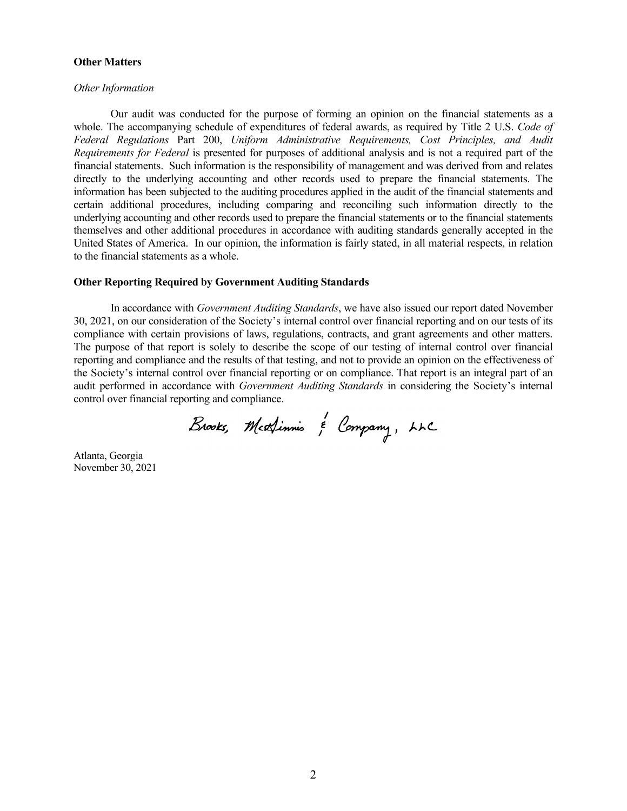#### **Other Matters**

#### *Other Information*

 Our audit was conducted for the purpose of forming an opinion on the financial statements as a whole. The accompanying schedule of expenditures of federal awards, as required by Title 2 U.S. *Code of Federal Regulations* Part 200, *Uniform Administrative Requirements, Cost Principles, and Audit Requirements for Federal* is presented for purposes of additional analysis and is not a required part of the financial statements. Such information is the responsibility of management and was derived from and relates directly to the underlying accounting and other records used to prepare the financial statements. The information has been subjected to the auditing procedures applied in the audit of the financial statements and certain additional procedures, including comparing and reconciling such information directly to the underlying accounting and other records used to prepare the financial statements or to the financial statements themselves and other additional procedures in accordance with auditing standards generally accepted in the United States of America. In our opinion, the information is fairly stated, in all material respects, in relation to the financial statements as a whole.

#### **Other Reporting Required by Government Auditing Standards**

In accordance with *Government Auditing Standards*, we have also issued our report dated November 30, 2021, on our consideration of the Society's internal control over financial reporting and on our tests of its compliance with certain provisions of laws, regulations, contracts, and grant agreements and other matters. The purpose of that report is solely to describe the scope of our testing of internal control over financial reporting and compliance and the results of that testing, and not to provide an opinion on the effectiveness of the Society's internal control over financial reporting or on compliance. That report is an integral part of an audit performed in accordance with *Government Auditing Standards* in considering the Society's internal control over financial reporting and compliance.

Brooks, Mextinnis & Company, LLC

Atlanta, Georgia November 30, 2021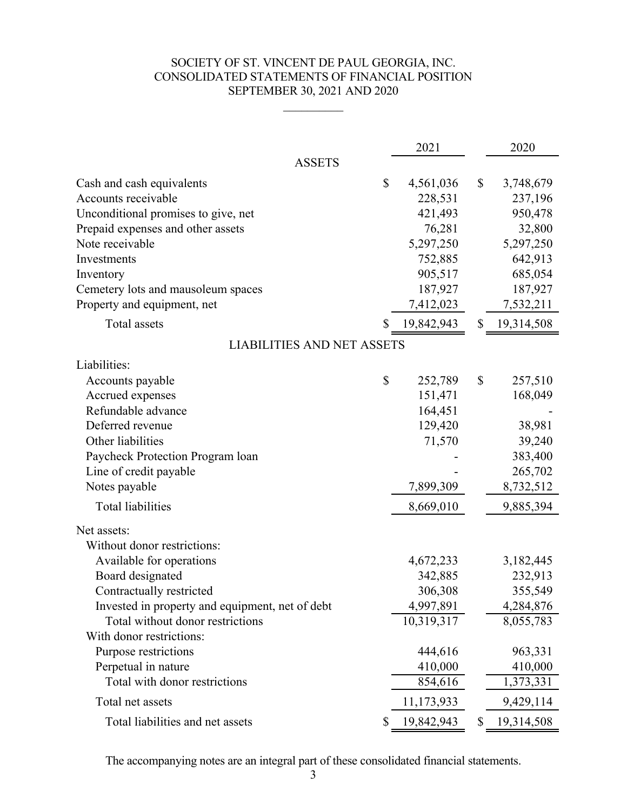# SOCIETY OF ST. VINCENT DE PAUL GEORGIA, INC. CONSOLIDATED STATEMENTS OF FINANCIAL POSITION SEPTEMBER 30, 2021 AND 2020

|                                                 | 2021             | 2020             |
|-------------------------------------------------|------------------|------------------|
| <b>ASSETS</b>                                   |                  |                  |
| Cash and cash equivalents                       | \$<br>4,561,036  | \$<br>3,748,679  |
| Accounts receivable                             | 228,531          | 237,196          |
| Unconditional promises to give, net             | 421,493          | 950,478          |
| Prepaid expenses and other assets               | 76,281           | 32,800           |
| Note receivable                                 | 5,297,250        | 5,297,250        |
| Investments                                     | 752,885          | 642,913          |
| Inventory                                       | 905,517          | 685,054          |
| Cemetery lots and mausoleum spaces              | 187,927          | 187,927          |
| Property and equipment, net                     | 7,412,023        | 7,532,211        |
| Total assets                                    | 19,842,943       | \$<br>19,314,508 |
| <b>LIABILITIES AND NET ASSETS</b>               |                  |                  |
| Liabilities:                                    |                  |                  |
| Accounts payable                                | \$<br>252,789    | \$<br>257,510    |
| Accrued expenses                                | 151,471          | 168,049          |
| Refundable advance                              | 164,451          |                  |
| Deferred revenue                                | 129,420          | 38,981           |
| Other liabilities                               | 71,570           | 39,240           |
| Paycheck Protection Program loan                |                  | 383,400          |
| Line of credit payable                          |                  | 265,702          |
| Notes payable                                   | 7,899,309        | 8,732,512        |
| <b>Total liabilities</b>                        | 8,669,010        | 9,885,394        |
| Net assets:                                     |                  |                  |
| Without donor restrictions:                     |                  |                  |
| Available for operations                        | 4,672,233        | 3,182,445        |
| Board designated                                | 342,885          | 232,913          |
| Contractually restricted                        | 306,308          | 355,549          |
| Invested in property and equipment, net of debt | 4,997,891        | 4,284,876        |
| Total without donor restrictions                | 10,319,317       | 8,055,783        |
| With donor restrictions:                        |                  |                  |
| Purpose restrictions                            | 444,616          | 963,331          |
| Perpetual in nature                             | 410,000          | 410,000          |
| Total with donor restrictions                   | 854,616          | 1,373,331        |
| Total net assets                                | 11,173,933       | 9,429,114        |
| Total liabilities and net assets                | \$<br>19,842,943 | \$<br>19,314,508 |

The accompanying notes are an integral part of these consolidated financial statements.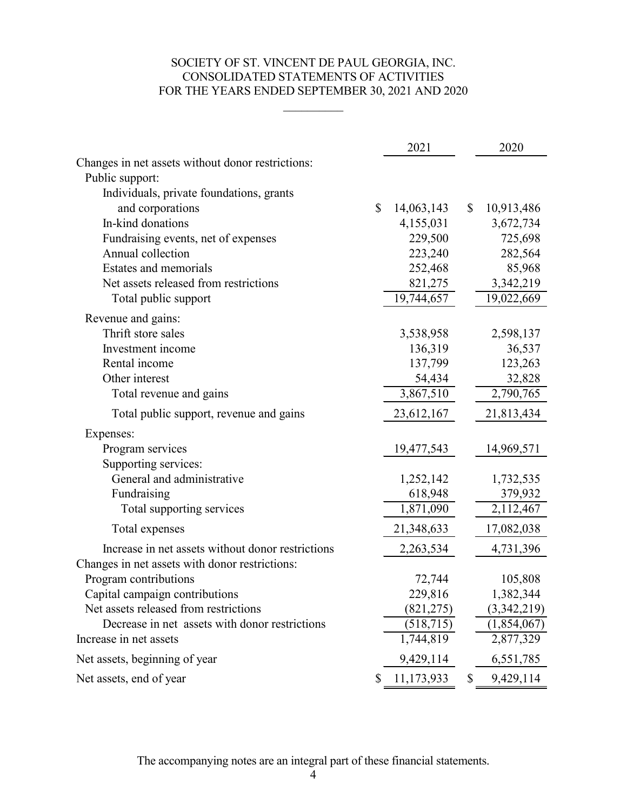# SOCIETY OF ST. VINCENT DE PAUL GEORGIA, INC. CONSOLIDATED STATEMENTS OF ACTIVITIES FOR THE YEARS ENDED SEPTEMBER 30, 2021 AND 2020

|                                                   | 2021             | 2020             |
|---------------------------------------------------|------------------|------------------|
| Changes in net assets without donor restrictions: |                  |                  |
| Public support:                                   |                  |                  |
| Individuals, private foundations, grants          |                  |                  |
| and corporations                                  | \$<br>14,063,143 | \$<br>10,913,486 |
| In-kind donations                                 | 4,155,031        | 3,672,734        |
| Fundraising events, net of expenses               | 229,500          | 725,698          |
| Annual collection                                 | 223,240          | 282,564          |
| <b>Estates and memorials</b>                      | 252,468          | 85,968           |
| Net assets released from restrictions             | 821,275          | 3,342,219        |
| Total public support                              | 19,744,657       | 19,022,669       |
| Revenue and gains:                                |                  |                  |
| Thrift store sales                                | 3,538,958        | 2,598,137        |
| Investment income                                 | 136,319          | 36,537           |
| Rental income                                     | 137,799          | 123,263          |
| Other interest                                    | 54,434           | 32,828           |
| Total revenue and gains                           | 3,867,510        | 2,790,765        |
| Total public support, revenue and gains           | 23,612,167       | 21,813,434       |
| Expenses:                                         |                  |                  |
| Program services                                  | 19,477,543       | 14,969,571       |
| Supporting services:                              |                  |                  |
| General and administrative                        | 1,252,142        | 1,732,535        |
| Fundraising                                       | 618,948          | 379,932          |
| Total supporting services                         | 1,871,090        | 2,112,467        |
| Total expenses                                    | 21,348,633       | 17,082,038       |
| Increase in net assets without donor restrictions | 2,263,534        | 4,731,396        |
| Changes in net assets with donor restrictions:    |                  |                  |
| Program contributions                             | 72,744           | 105,808          |
| Capital campaign contributions                    | 229,816          | 1,382,344        |
| Net assets released from restrictions             | (821, 275)       | (3,342,219)      |
| Decrease in net assets with donor restrictions    | (518, 715)       | (1,854,067)      |
| Increase in net assets                            | 1,744,819        | 2,877,329        |
| Net assets, beginning of year                     | 9,429,114        | 6,551,785        |
| Net assets, end of year                           | \$<br>11,173,933 | \$<br>9,429,114  |

The accompanying notes are an integral part of these financial statements.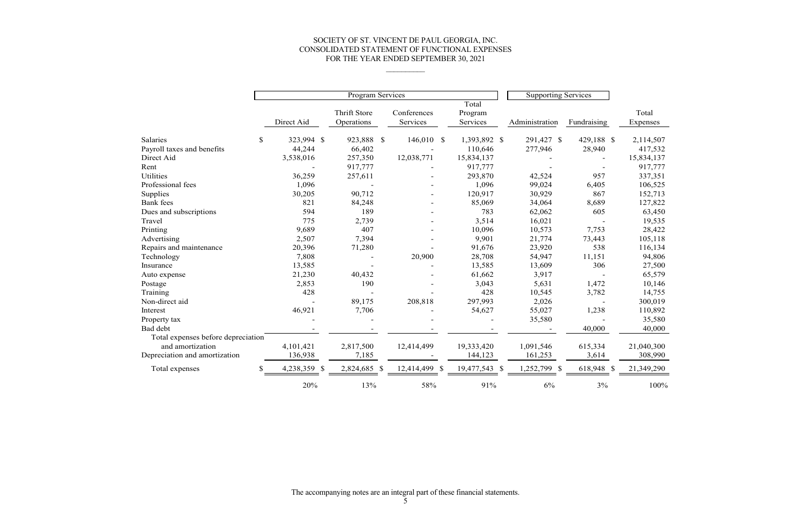# SOCIETY OF ST. VINCENT DE PAUL GEORGIA, INC. CONSOLIDATED STATEMENT OF FUNCTIONAL EXPENSES FOR THE YEAR ENDED SEPTEMBER 30, 2021

 $\overline{\phantom{a}}$ 

|                                    | Program Services |              |                            |  |                         |               | Supporting Services          |                |             |                   |
|------------------------------------|------------------|--------------|----------------------------|--|-------------------------|---------------|------------------------------|----------------|-------------|-------------------|
|                                    |                  | Direct Aid   | Thrift Store<br>Operations |  | Conferences<br>Services |               | Total<br>Program<br>Services | Administration | Fundraising | Total<br>Expenses |
| Salaries                           | <sup>\$</sup>    | 323,994 \$   | 923,888 \$                 |  | 146,010                 | $\mathbb{S}$  | 1,393,892 \$                 | 291,427 \$     | 429,188 \$  | 2,114,507         |
| Payroll taxes and benefits         |                  | 44,244       | 66,402                     |  |                         |               | 110,646                      | 277,946        | 28,940      | 417,532           |
| Direct Aid                         |                  | 3,538,016    | 257,350                    |  | 12,038,771              |               | 15,834,137                   |                |             | 15,834,137        |
| Rent                               |                  |              | 917,777                    |  |                         |               | 917,777                      |                |             | 917,777           |
| <b>Utilities</b>                   |                  | 36,259       | 257,611                    |  |                         |               | 293,870                      | 42,524         | 957         | 337,351           |
| Professional fees                  |                  | 1,096        |                            |  |                         |               | 1,096                        | 99,024         | 6,405       | 106,525           |
| Supplies                           |                  | 30,205       | 90,712                     |  |                         |               | 120,917                      | 30,929         | 867         | 152,713           |
| <b>Bank</b> fees                   |                  | 821          | 84,248                     |  |                         |               | 85,069                       | 34,064         | 8,689       | 127,822           |
| Dues and subscriptions             |                  | 594          | 189                        |  |                         |               | 783                          | 62,062         | 605         | 63,450            |
| Travel                             |                  | 775          | 2,739                      |  |                         |               | 3,514                        | 16,021         |             | 19,535            |
| Printing                           |                  | 9,689        | 407                        |  |                         |               | 10,096                       | 10,573         | 7,753       | 28,422            |
| Advertising                        |                  | 2,507        | 7,394                      |  |                         |               | 9,901                        | 21,774         | 73,443      | 105,118           |
| Repairs and maintenance            |                  | 20,396       | 71,280                     |  |                         |               | 91,676                       | 23,920         | 538         | 116,134           |
| Technology                         |                  | 7,808        |                            |  | 20,900                  |               | 28,708                       | 54,947         | 11,151      | 94,806            |
| Insurance                          |                  | 13,585       |                            |  |                         |               | 13,585                       | 13,609         | 306         | 27,500            |
| Auto expense                       |                  | 21,230       | 40,432                     |  |                         |               | 61,662                       | 3,917          |             | 65,579            |
| Postage                            |                  | 2,853        | 190                        |  |                         |               | 3,043                        | 5,631          | 1,472       | 10,146            |
| Training                           |                  | 428          |                            |  |                         |               | 428                          | 10,545         | 3,782       | 14,755            |
| Non-direct aid                     |                  |              | 89,175                     |  | 208,818                 |               | 297,993                      | 2,026          |             | 300,019           |
| Interest                           |                  | 46,921       | 7,706                      |  |                         |               | 54,627                       | 55,027         | 1,238       | 110,892           |
| Property tax                       |                  |              |                            |  |                         |               |                              | 35,580         |             | 35,580            |
| Bad debt                           |                  |              |                            |  |                         |               |                              |                | 40,000      | 40,000            |
| Total expenses before depreciation |                  |              |                            |  |                         |               |                              |                |             |                   |
| and amortization                   |                  | 4,101,421    | 2,817,500                  |  | 12,414,499              |               | 19,333,420                   | 1,091,546      | 615,334     | 21,040,300        |
| Depreciation and amortization      |                  | 136,938      | 7,185                      |  |                         |               | 144,123                      | 161,253        | 3,614       | 308,990           |
| Total expenses                     | \$               | 4,238,359 \$ | 2,824,685 \$               |  | 12,414,499              | $\mathcal{S}$ | 19,477,543 \$                | 1,252,799 \$   | 618,948 \$  | 21,349,290        |
|                                    |                  | 20%          | 13%                        |  | 58%                     |               | 91%                          | 6%             | 3%          | 100%              |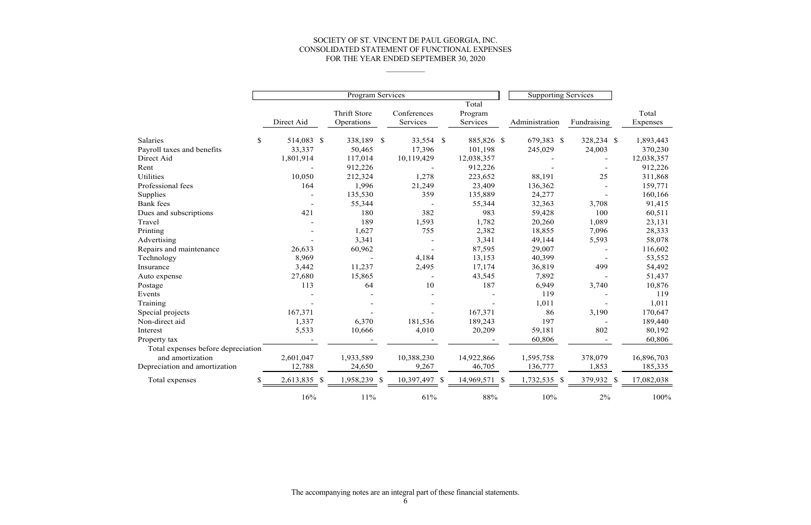# SOCIETY OF ST. VINCENT DE PAUL GEORGIA, INC. CONSOLIDATED STATEMENT OF FUNCTIONAL EXPENSES FOR THE YEAR ENDED SEPTEMBER 30, 2020

 $\overline{\phantom{a}}$  , where the contract of the contract of the contract of the contract of the contract of the contract of the contract of the contract of the contract of the contract of the contract of the contract of the contr

|                                    |                    |                         | <b>Supporting Services</b> |               |                |                |            |
|------------------------------------|--------------------|-------------------------|----------------------------|---------------|----------------|----------------|------------|
|                                    |                    | <b>Program Services</b> |                            | Total         |                |                |            |
|                                    |                    | Thrift Store            | Conferences                | Program       |                |                | Total      |
|                                    | Direct Aid         | Operations              | Services                   | Services      | Administration | Fundraising    | Expenses   |
| Salaries                           | 514,083 \$<br>\$   | 338,189                 | $\mathbb{S}$<br>33,554 \$  | 885,826 \$    | 679,383 \$     | 328,234 \$     | 1,893,443  |
| Payroll taxes and benefits         | 33,337             | 50,465                  | 17,396                     | 101,198       | 245,029        | 24,003         | 370,230    |
| Direct Aid                         | 1,801,914          | 117,014                 | 10,119,429                 | 12,038,357    |                |                | 12,038,357 |
| Rent                               |                    | 912,226                 |                            | 912,226       |                |                | 912,226    |
| <b>Utilities</b>                   | 10,050             | 212,324                 | 1,278                      | 223,652       | 88,191         | 25             | 311,868    |
| Professional fees                  | 164                | 1,996                   | 21,249                     | 23,409        | 136,362        |                | 159,771    |
| Supplies                           |                    | 135,530                 | 359                        | 135,889       | 24,277         |                | 160,166    |
| <b>Bank</b> fees                   |                    | 55,344                  |                            | 55,344        | 32,363         | 3,708          | 91,415     |
| Dues and subscriptions             | 421                | 180                     | 382                        | 983           | 59,428         | 100            | 60,511     |
| Travel                             |                    | 189                     | 1,593                      | 1,782         | 20,260         | 1,089          | 23,131     |
| Printing                           |                    | 1,627                   | 755                        | 2,382         | 18,855         | 7,096          | 28,333     |
| Advertising                        |                    | 3,341                   |                            | 3,341         | 49,144         | 5,593          | 58,078     |
| Repairs and maintenance            | 26,633             | 60,962                  |                            | 87,595        | 29,007         |                | 116,602    |
| Technology                         | 8,969              |                         | 4,184                      | 13,153        | 40,399         |                | 53,552     |
| Insurance                          | 3,442              | 11,237                  | 2,495                      | 17,174        | 36,819         | 499            | 54,492     |
| Auto expense                       | 27,680             | 15,865                  |                            | 43,545        | 7,892          |                | 51,437     |
| Postage                            | 113                | 64                      | 10                         | 187           | 6,949          | 3,740          | 10,876     |
| Events                             |                    |                         |                            |               | 119            |                | 119        |
| Training                           |                    |                         |                            |               | 1,011          |                | 1,011      |
| Special projects                   | 167,371            |                         |                            | 167,371       | 86             | 3,190          | 170,647    |
| Non-direct aid                     | 1,337              | 6,370                   | 181,536                    | 189,243       | 197            |                | 189,440    |
| Interest                           | 5,533              | 10,666                  | 4,010                      | 20,209        | 59,181         | 802            | 80,192     |
| Property tax                       |                    |                         |                            |               | 60,806         |                | 60,806     |
| Total expenses before depreciation |                    |                         |                            |               |                |                |            |
| and amortization                   | 2,601,047          | 1,933,589               | 10,388,230                 | 14,922,866    | 1,595,758      | 378,079        | 16,896,703 |
| Depreciation and amortization      | 12,788             | 24,650                  | 9,267                      | 46,705        | 136,777        | 1,853          | 185,335    |
| Total expenses                     | 2,613,835 \$<br>S. | 1,958,239 \$            | 10,397,497 \$              | 14,969,571 \$ | 1,732,535 \$   | 379,932<br>-\$ | 17,082,038 |
|                                    | 16%                | 11%                     | 61%                        | 88%           | 10%            | $2\%$          | 100%       |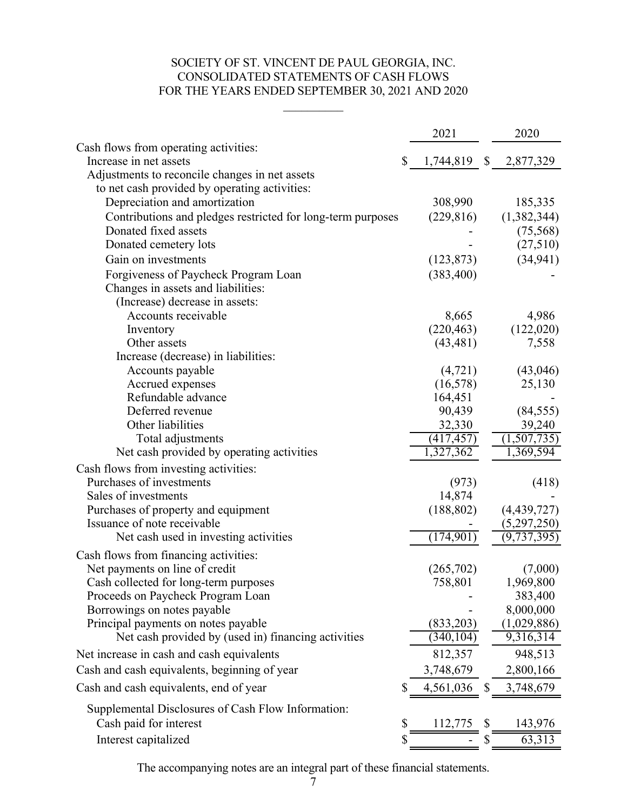## SOCIETY OF ST. VINCENT DE PAUL GEORGIA, INC. CONSOLIDATED STATEMENTS OF CASH FLOWS FOR THE YEARS ENDED SEPTEMBER 30, 2021 AND 2020

|                                                             |    | 2021                 |              | 2020               |
|-------------------------------------------------------------|----|----------------------|--------------|--------------------|
| Cash flows from operating activities:                       |    |                      |              |                    |
| Increase in net assets                                      | \$ | 1,744,819            | $\mathbb{S}$ | 2,877,329          |
| Adjustments to reconcile changes in net assets              |    |                      |              |                    |
| to net cash provided by operating activities:               |    |                      |              |                    |
| Depreciation and amortization                               |    | 308,990              |              | 185,335            |
| Contributions and pledges restricted for long-term purposes |    | (229, 816)           |              | (1,382,344)        |
| Donated fixed assets                                        |    |                      |              | (75, 568)          |
| Donated cemetery lots                                       |    |                      |              | (27,510)           |
| Gain on investments                                         |    | (123, 873)           |              | (34, 941)          |
| Forgiveness of Paycheck Program Loan                        |    | (383,400)            |              |                    |
| Changes in assets and liabilities:                          |    |                      |              |                    |
| (Increase) decrease in assets:                              |    |                      |              |                    |
| Accounts receivable                                         |    | 8,665                |              | 4,986              |
| Inventory                                                   |    | (220, 463)           |              | (122,020)          |
| Other assets                                                |    | (43, 481)            |              | 7,558              |
| Increase (decrease) in liabilities:                         |    |                      |              |                    |
| Accounts payable<br>Accrued expenses                        |    | (4, 721)             |              | (43,046)<br>25,130 |
| Refundable advance                                          |    | (16, 578)<br>164,451 |              |                    |
| Deferred revenue                                            |    | 90,439               |              | (84, 555)          |
| Other liabilities                                           |    | 32,330               |              | 39,240             |
| Total adjustments                                           |    | (417, 457)           |              | (1,507,735)        |
| Net cash provided by operating activities                   |    | 1,327,362            |              | 1,369,594          |
| Cash flows from investing activities:                       |    |                      |              |                    |
| Purchases of investments                                    |    | (973)                |              | (418)              |
| Sales of investments                                        |    | 14,874               |              |                    |
| Purchases of property and equipment                         |    | (188, 802)           |              | (4,439,727)        |
| Issuance of note receivable                                 |    |                      |              | (5,297,250)        |
| Net cash used in investing activities                       |    | (174,901)            |              | (9, 737, 395)      |
| Cash flows from financing activities:                       |    |                      |              |                    |
| Net payments on line of credit                              |    | (265,702)            |              | (7,000)            |
| Cash collected for long-term purposes                       |    | 758,801              |              | 1,969,800          |
| Proceeds on Paycheck Program Loan                           |    |                      |              | 383,400            |
| Borrowings on notes payable                                 |    |                      |              | 8,000,000          |
| Principal payments on notes payable                         |    | (833,203)            |              | (1,029,886)        |
| Net cash provided by (used in) financing activities         |    | (340,104)            |              | 9,316,314          |
| Net increase in cash and cash equivalents                   |    | 812,357              |              | 948,513            |
| Cash and cash equivalents, beginning of year                |    | 3,748,679            |              | 2,800,166          |
| Cash and cash equivalents, end of year                      | S  | 4,561,036            | <sup>S</sup> | 3,748,679          |
|                                                             |    |                      |              |                    |
| Supplemental Disclosures of Cash Flow Information:          |    |                      |              |                    |
| Cash paid for interest                                      | \$ | 112,775              |              | 143,976            |
| Interest capitalized                                        | \$ |                      |              | 63,313             |

The accompanying notes are an integral part of these financial statements.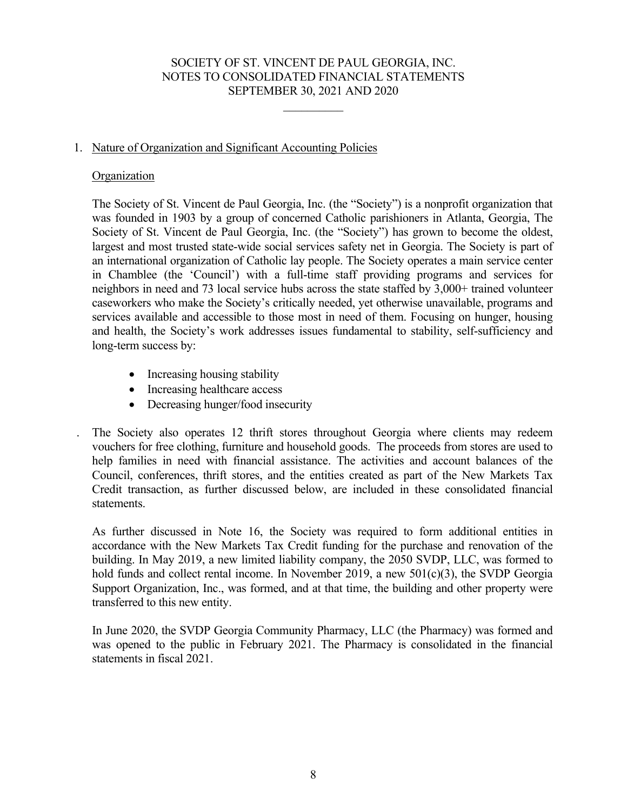## 1. Nature of Organization and Significant Accounting Policies

## Organization

 The Society of St. Vincent de Paul Georgia, Inc. (the "Society") is a nonprofit organization that was founded in 1903 by a group of concerned Catholic parishioners in Atlanta, Georgia, The Society of St. Vincent de Paul Georgia, Inc. (the "Society") has grown to become the oldest, largest and most trusted state-wide social services safety net in Georgia. The Society is part of an international organization of Catholic lay people. The Society operates a main service center in Chamblee (the 'Council') with a full-time staff providing programs and services for neighbors in need and 73 local service hubs across the state staffed by 3,000+ trained volunteer caseworkers who make the Society's critically needed, yet otherwise unavailable, programs and services available and accessible to those most in need of them. Focusing on hunger, housing and health, the Society's work addresses issues fundamental to stability, self-sufficiency and long-term success by:

- Increasing housing stability
- Increasing healthcare access
- Decreasing hunger/food insecurity

 . The Society also operates 12 thrift stores throughout Georgia where clients may redeem vouchers for free clothing, furniture and household goods. The proceeds from stores are used to help families in need with financial assistance. The activities and account balances of the Council, conferences, thrift stores, and the entities created as part of the New Markets Tax Credit transaction, as further discussed below, are included in these consolidated financial statements.

 As further discussed in Note 16, the Society was required to form additional entities in accordance with the New Markets Tax Credit funding for the purchase and renovation of the building. In May 2019, a new limited liability company, the 2050 SVDP, LLC, was formed to hold funds and collect rental income. In November 2019, a new 501(c)(3), the SVDP Georgia Support Organization, Inc., was formed, and at that time, the building and other property were transferred to this new entity.

 In June 2020, the SVDP Georgia Community Pharmacy, LLC (the Pharmacy) was formed and was opened to the public in February 2021. The Pharmacy is consolidated in the financial statements in fiscal 2021.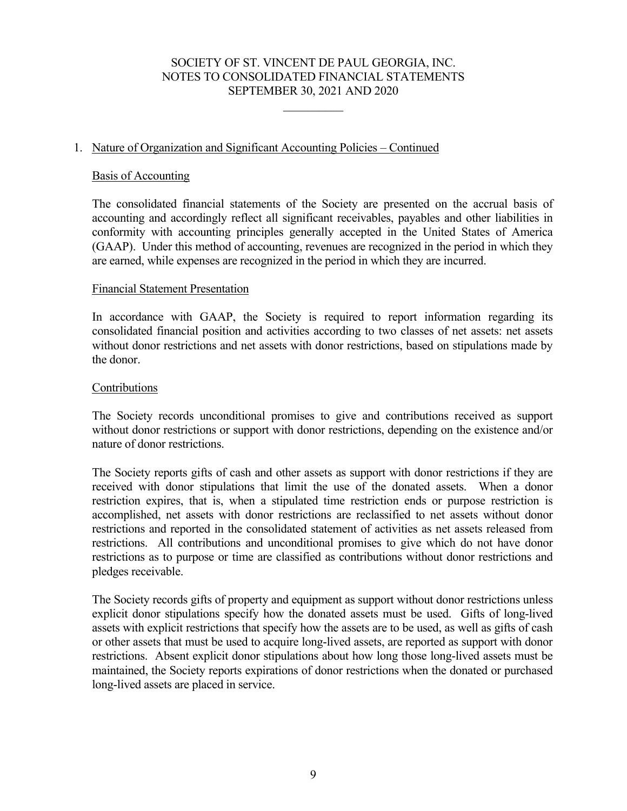## 1. Nature of Organization and Significant Accounting Policies – Continued

#### Basis of Accounting

 The consolidated financial statements of the Society are presented on the accrual basis of accounting and accordingly reflect all significant receivables, payables and other liabilities in conformity with accounting principles generally accepted in the United States of America (GAAP). Under this method of accounting, revenues are recognized in the period in which they are earned, while expenses are recognized in the period in which they are incurred.

#### Financial Statement Presentation

 In accordance with GAAP, the Society is required to report information regarding its consolidated financial position and activities according to two classes of net assets: net assets without donor restrictions and net assets with donor restrictions, based on stipulations made by the donor.

#### Contributions

 The Society records unconditional promises to give and contributions received as support without donor restrictions or support with donor restrictions, depending on the existence and/or nature of donor restrictions.

 The Society reports gifts of cash and other assets as support with donor restrictions if they are received with donor stipulations that limit the use of the donated assets. When a donor restriction expires, that is, when a stipulated time restriction ends or purpose restriction is accomplished, net assets with donor restrictions are reclassified to net assets without donor restrictions and reported in the consolidated statement of activities as net assets released from restrictions. All contributions and unconditional promises to give which do not have donor restrictions as to purpose or time are classified as contributions without donor restrictions and pledges receivable.

 The Society records gifts of property and equipment as support without donor restrictions unless explicit donor stipulations specify how the donated assets must be used. Gifts of long-lived assets with explicit restrictions that specify how the assets are to be used, as well as gifts of cash or other assets that must be used to acquire long-lived assets, are reported as support with donor restrictions. Absent explicit donor stipulations about how long those long-lived assets must be maintained, the Society reports expirations of donor restrictions when the donated or purchased long-lived assets are placed in service.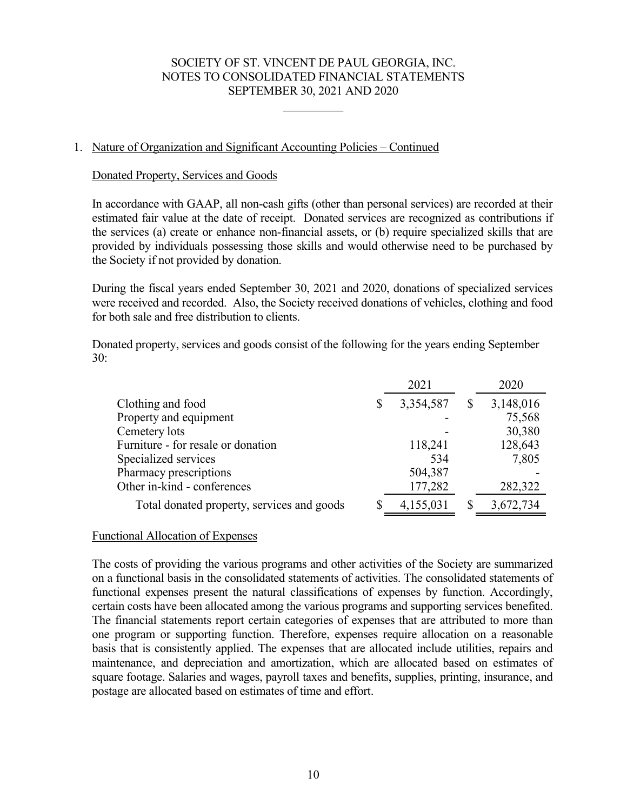## 1. Nature of Organization and Significant Accounting Policies – Continued

#### Donated Property, Services and Goods

 In accordance with GAAP, all non-cash gifts (other than personal services) are recorded at their estimated fair value at the date of receipt. Donated services are recognized as contributions if the services (a) create or enhance non-financial assets, or (b) require specialized skills that are provided by individuals possessing those skills and would otherwise need to be purchased by the Society if not provided by donation.

 During the fiscal years ended September 30, 2021 and 2020, donations of specialized services were received and recorded. Also, the Society received donations of vehicles, clothing and food for both sale and free distribution to clients.

 Donated property, services and goods consist of the following for the years ending September 30:

|                                            |   | 2021      |   | 2020      |
|--------------------------------------------|---|-----------|---|-----------|
| Clothing and food                          | S | 3,354,587 | S | 3,148,016 |
| Property and equipment                     |   |           |   | 75,568    |
| Cemetery lots                              |   |           |   | 30,380    |
| Furniture - for resale or donation         |   | 118,241   |   | 128,643   |
| Specialized services                       |   | 534       |   | 7,805     |
| Pharmacy prescriptions                     |   | 504,387   |   |           |
| Other in-kind - conferences                |   | 177,282   |   | 282,322   |
| Total donated property, services and goods |   | 4,155,031 |   | 3,672,734 |

## Functional Allocation of Expenses

 The costs of providing the various programs and other activities of the Society are summarized on a functional basis in the consolidated statements of activities. The consolidated statements of functional expenses present the natural classifications of expenses by function. Accordingly, certain costs have been allocated among the various programs and supporting services benefited. The financial statements report certain categories of expenses that are attributed to more than one program or supporting function. Therefore, expenses require allocation on a reasonable basis that is consistently applied. The expenses that are allocated include utilities, repairs and maintenance, and depreciation and amortization, which are allocated based on estimates of square footage. Salaries and wages, payroll taxes and benefits, supplies, printing, insurance, and postage are allocated based on estimates of time and effort.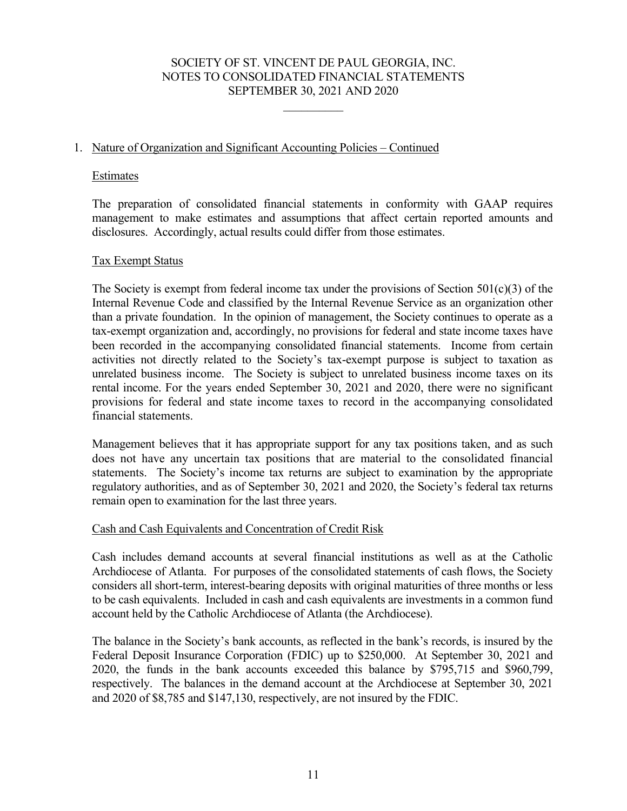## 1. Nature of Organization and Significant Accounting Policies – Continued

#### Estimates

 The preparation of consolidated financial statements in conformity with GAAP requires management to make estimates and assumptions that affect certain reported amounts and disclosures. Accordingly, actual results could differ from those estimates.

## Tax Exempt Status

 The Society is exempt from federal income tax under the provisions of Section 501(c)(3) of the Internal Revenue Code and classified by the Internal Revenue Service as an organization other than a private foundation. In the opinion of management, the Society continues to operate as a tax-exempt organization and, accordingly, no provisions for federal and state income taxes have been recorded in the accompanying consolidated financial statements. Income from certain activities not directly related to the Society's tax-exempt purpose is subject to taxation as unrelated business income. The Society is subject to unrelated business income taxes on its rental income. For the years ended September 30, 2021 and 2020, there were no significant provisions for federal and state income taxes to record in the accompanying consolidated financial statements.

 Management believes that it has appropriate support for any tax positions taken, and as such does not have any uncertain tax positions that are material to the consolidated financial statements. The Society's income tax returns are subject to examination by the appropriate regulatory authorities, and as of September 30, 2021 and 2020, the Society's federal tax returns remain open to examination for the last three years.

## Cash and Cash Equivalents and Concentration of Credit Risk

 Cash includes demand accounts at several financial institutions as well as at the Catholic Archdiocese of Atlanta. For purposes of the consolidated statements of cash flows, the Society considers all short-term, interest-bearing deposits with original maturities of three months or less to be cash equivalents. Included in cash and cash equivalents are investments in a common fund account held by the Catholic Archdiocese of Atlanta (the Archdiocese).

 The balance in the Society's bank accounts, as reflected in the bank's records, is insured by the Federal Deposit Insurance Corporation (FDIC) up to \$250,000. At September 30, 2021 and 2020, the funds in the bank accounts exceeded this balance by \$795,715 and \$960,799, respectively. The balances in the demand account at the Archdiocese at September 30, 2021 and 2020 of \$8,785 and \$147,130, respectively, are not insured by the FDIC.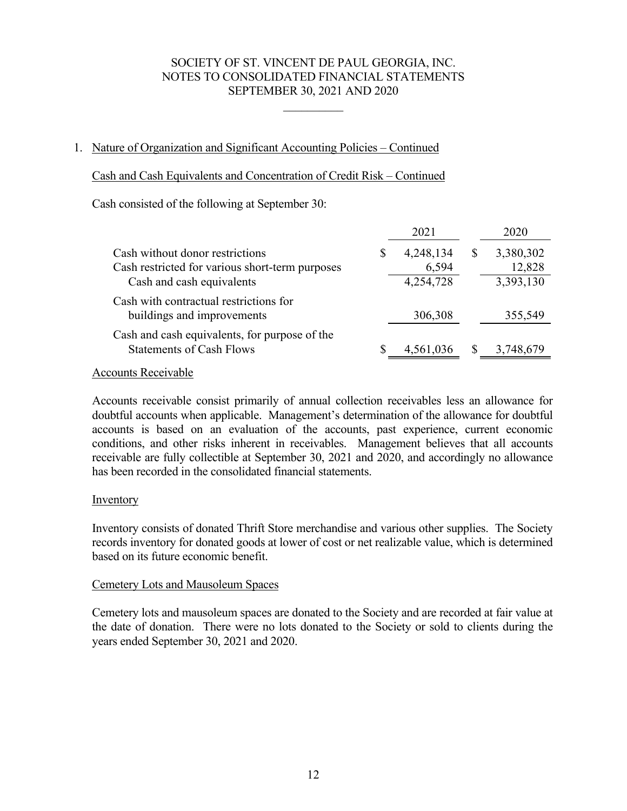## 1. Nature of Organization and Significant Accounting Policies – Continued

Cash and Cash Equivalents and Concentration of Credit Risk – Continued

Cash consisted of the following at September 30:

|                                                                                    |    | 2021               |   | 2020                |
|------------------------------------------------------------------------------------|----|--------------------|---|---------------------|
| Cash without donor restrictions<br>Cash restricted for various short-term purposes | \$ | 4,248,134<br>6,594 | S | 3,380,302<br>12,828 |
| Cash and cash equivalents                                                          |    | 4,254,728          |   | 3,393,130           |
| Cash with contractual restrictions for                                             |    |                    |   |                     |
| buildings and improvements                                                         |    | 306,308            |   | 355,549             |
| Cash and cash equivalents, for purpose of the                                      |    |                    |   |                     |
| <b>Statements of Cash Flows</b>                                                    | S  | 4,561,036          |   | 3,748,679           |

#### Accounts Receivable

 Accounts receivable consist primarily of annual collection receivables less an allowance for doubtful accounts when applicable. Management's determination of the allowance for doubtful accounts is based on an evaluation of the accounts, past experience, current economic conditions, and other risks inherent in receivables. Management believes that all accounts receivable are fully collectible at September 30, 2021 and 2020, and accordingly no allowance has been recorded in the consolidated financial statements.

## **Inventory**

 Inventory consists of donated Thrift Store merchandise and various other supplies. The Society records inventory for donated goods at lower of cost or net realizable value, which is determined based on its future economic benefit.

## Cemetery Lots and Mausoleum Spaces

 Cemetery lots and mausoleum spaces are donated to the Society and are recorded at fair value at the date of donation. There were no lots donated to the Society or sold to clients during the years ended September 30, 2021 and 2020.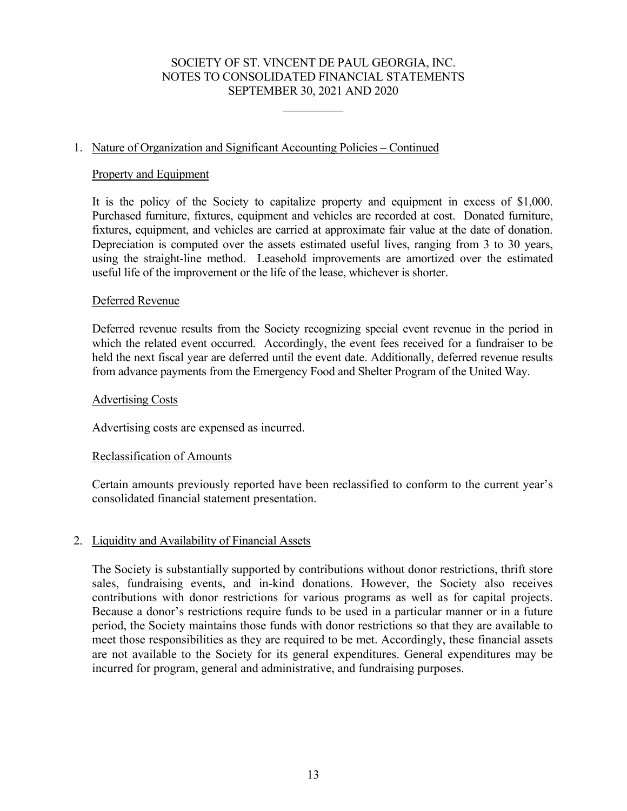## 1. Nature of Organization and Significant Accounting Policies – Continued

## Property and Equipment

 It is the policy of the Society to capitalize property and equipment in excess of \$1,000. Purchased furniture, fixtures, equipment and vehicles are recorded at cost. Donated furniture, fixtures, equipment, and vehicles are carried at approximate fair value at the date of donation. Depreciation is computed over the assets estimated useful lives, ranging from 3 to 30 years, using the straight-line method. Leasehold improvements are amortized over the estimated useful life of the improvement or the life of the lease, whichever is shorter.

## Deferred Revenue

 Deferred revenue results from the Society recognizing special event revenue in the period in which the related event occurred. Accordingly, the event fees received for a fundraiser to be held the next fiscal year are deferred until the event date. Additionally, deferred revenue results from advance payments from the Emergency Food and Shelter Program of the United Way.

#### Advertising Costs

Advertising costs are expensed as incurred.

## Reclassification of Amounts

 Certain amounts previously reported have been reclassified to conform to the current year's consolidated financial statement presentation.

## 2. Liquidity and Availability of Financial Assets

The Society is substantially supported by contributions without donor restrictions, thrift store sales, fundraising events, and in-kind donations. However, the Society also receives contributions with donor restrictions for various programs as well as for capital projects. Because a donor's restrictions require funds to be used in a particular manner or in a future period, the Society maintains those funds with donor restrictions so that they are available to meet those responsibilities as they are required to be met. Accordingly, these financial assets are not available to the Society for its general expenditures. General expenditures may be incurred for program, general and administrative, and fundraising purposes.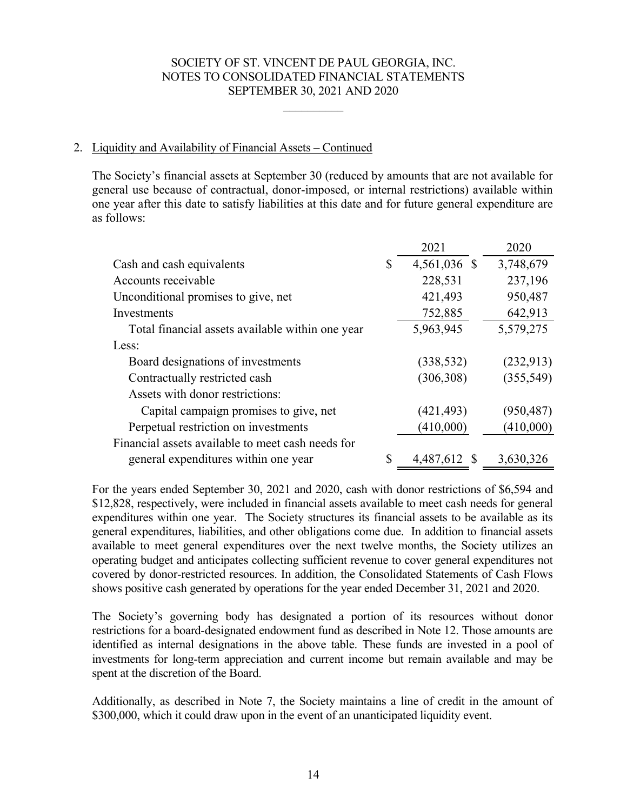## 2. Liquidity and Availability of Financial Assets – Continued

The Society's financial assets at September 30 (reduced by amounts that are not available for general use because of contractual, donor-imposed, or internal restrictions) available within one year after this date to satisfy liabilities at this date and for future general expenditure are as follows:

|                                                   | 2021               | 2020       |
|---------------------------------------------------|--------------------|------------|
| Cash and cash equivalents                         | \$<br>4,561,036 \$ | 3,748,679  |
| Accounts receivable                               | 228,531            | 237,196    |
| Unconditional promises to give, net               | 421,493            | 950,487    |
| Investments                                       | 752,885            | 642,913    |
| Total financial assets available within one year  | 5,963,945          | 5,579,275  |
| Less:                                             |                    |            |
| Board designations of investments                 | (338, 532)         | (232, 913) |
| Contractually restricted cash                     | (306, 308)         | (355, 549) |
| Assets with donor restrictions:                   |                    |            |
| Capital campaign promises to give, net            | (421, 493)         | (950, 487) |
| Perpetual restriction on investments              | (410,000)          | (410,000)  |
| Financial assets available to meet cash needs for |                    |            |
| general expenditures within one year              | 4,487,612 \$       | 3,630,326  |

 For the years ended September 30, 2021 and 2020, cash with donor restrictions of \$6,594 and \$12,828, respectively, were included in financial assets available to meet cash needs for general expenditures within one year. The Society structures its financial assets to be available as its general expenditures, liabilities, and other obligations come due. In addition to financial assets available to meet general expenditures over the next twelve months, the Society utilizes an operating budget and anticipates collecting sufficient revenue to cover general expenditures not covered by donor-restricted resources. In addition, the Consolidated Statements of Cash Flows shows positive cash generated by operations for the year ended December 31, 2021 and 2020.

 The Society's governing body has designated a portion of its resources without donor restrictions for a board-designated endowment fund as described in Note 12. Those amounts are identified as internal designations in the above table. These funds are invested in a pool of investments for long-term appreciation and current income but remain available and may be spent at the discretion of the Board.

 Additionally, as described in Note 7, the Society maintains a line of credit in the amount of \$300,000, which it could draw upon in the event of an unanticipated liquidity event.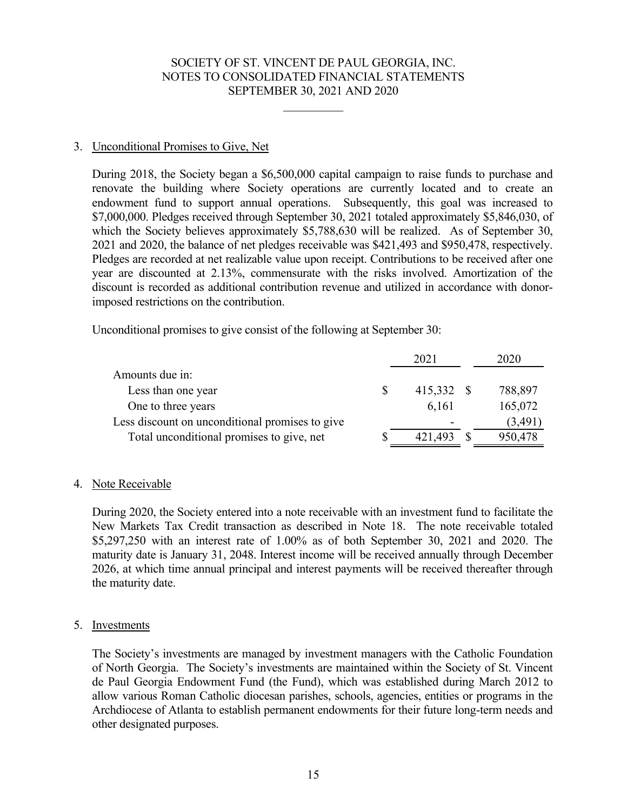#### 3. Unconditional Promises to Give, Net

 During 2018, the Society began a \$6,500,000 capital campaign to raise funds to purchase and renovate the building where Society operations are currently located and to create an endowment fund to support annual operations. Subsequently, this goal was increased to \$7,000,000. Pledges received through September 30, 2021 totaled approximately \$5,846,030, of which the Society believes approximately \$5,788,630 will be realized. As of September 30, 2021 and 2020, the balance of net pledges receivable was \$421,493 and \$950,478, respectively. Pledges are recorded at net realizable value upon receipt. Contributions to be received after one year are discounted at 2.13%, commensurate with the risks involved. Amortization of the discount is recorded as additional contribution revenue and utilized in accordance with donorimposed restrictions on the contribution.

Unconditional promises to give consist of the following at September 30:

|                                                 | 2021       | 2020    |
|-------------------------------------------------|------------|---------|
| Amounts due in:                                 |            |         |
| Less than one year                              | 415,332 \$ | 788,897 |
| One to three years                              | 6,161      | 165,072 |
| Less discount on unconditional promises to give |            | (3,491) |
| Total unconditional promises to give, net       | 421,493    | 950,478 |

## 4. Note Receivable

 During 2020, the Society entered into a note receivable with an investment fund to facilitate the New Markets Tax Credit transaction as described in Note 18. The note receivable totaled \$5,297,250 with an interest rate of 1.00% as of both September 30, 2021 and 2020. The maturity date is January 31, 2048. Interest income will be received annually through December 2026, at which time annual principal and interest payments will be received thereafter through the maturity date.

## 5. Investments

 The Society's investments are managed by investment managers with the Catholic Foundation of North Georgia. The Society's investments are maintained within the Society of St. Vincent de Paul Georgia Endowment Fund (the Fund), which was established during March 2012 to allow various Roman Catholic diocesan parishes, schools, agencies, entities or programs in the Archdiocese of Atlanta to establish permanent endowments for their future long-term needs and other designated purposes.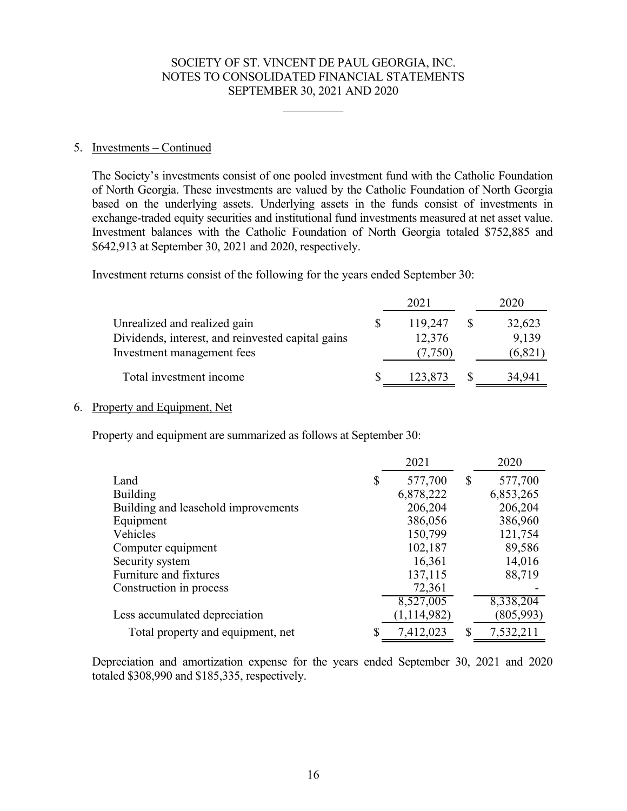#### 5. Investments – Continued

 The Society's investments consist of one pooled investment fund with the Catholic Foundation of North Georgia. These investments are valued by the Catholic Foundation of North Georgia based on the underlying assets. Underlying assets in the funds consist of investments in exchange-traded equity securities and institutional fund investments measured at net asset value. Investment balances with the Catholic Foundation of North Georgia totaled \$752,885 and \$642,913 at September 30, 2021 and 2020, respectively.

Investment returns consist of the following for the years ended September 30:

|                                                                                 |    |                   | 2020             |  |
|---------------------------------------------------------------------------------|----|-------------------|------------------|--|
| Unrealized and realized gain                                                    | S. | 119,247           | 32,623           |  |
| Dividends, interest, and reinvested capital gains<br>Investment management fees |    | 12,376<br>(7,750) | 9,139<br>(6,821) |  |
| Total investment income                                                         |    | 123,873           | 34.941           |  |

#### 6. Property and Equipment, Net

Property and equipment are summarized as follows at September 30:

|                                     |    | 2021          | 2020          |
|-------------------------------------|----|---------------|---------------|
| Land                                | \$ | 577,700       | \$<br>577,700 |
| <b>Building</b>                     |    | 6,878,222     | 6,853,265     |
| Building and leasehold improvements |    | 206,204       | 206,204       |
| Equipment                           |    | 386,056       | 386,960       |
| Vehicles                            |    | 150,799       | 121,754       |
| Computer equipment                  |    | 102,187       | 89,586        |
| Security system                     |    | 16,361        | 14,016        |
| Furniture and fixtures              |    | 137,115       | 88,719        |
| Construction in process             |    | 72,361        |               |
|                                     |    | 8,527,005     | 8,338,204     |
| Less accumulated depreciation       |    | (1, 114, 982) | (805,993)     |
| Total property and equipment, net   | S  | 7,412,023     | 7,532,211     |

 Depreciation and amortization expense for the years ended September 30, 2021 and 2020 totaled \$308,990 and \$185,335, respectively.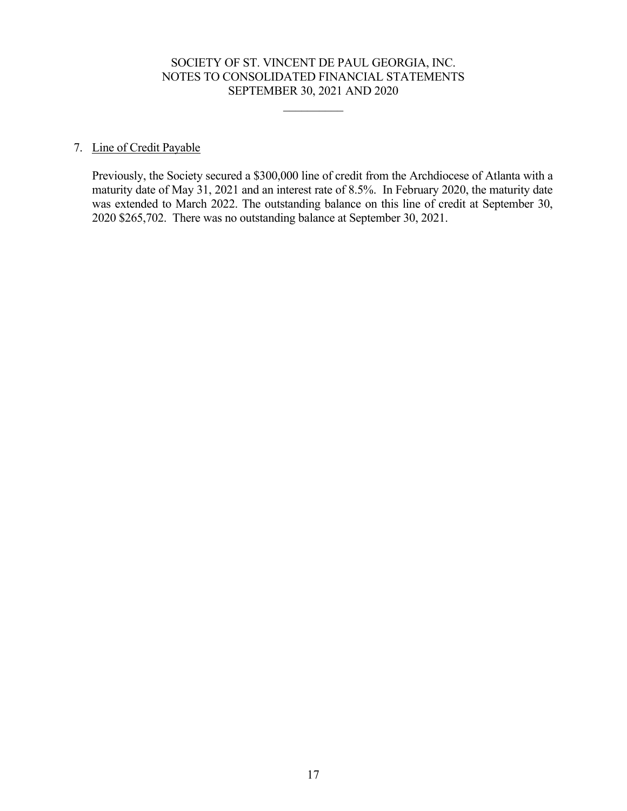## 7. Line of Credit Payable

 Previously, the Society secured a \$300,000 line of credit from the Archdiocese of Atlanta with a maturity date of May 31, 2021 and an interest rate of 8.5%. In February 2020, the maturity date was extended to March 2022. The outstanding balance on this line of credit at September 30, 2020 \$265,702. There was no outstanding balance at September 30, 2021.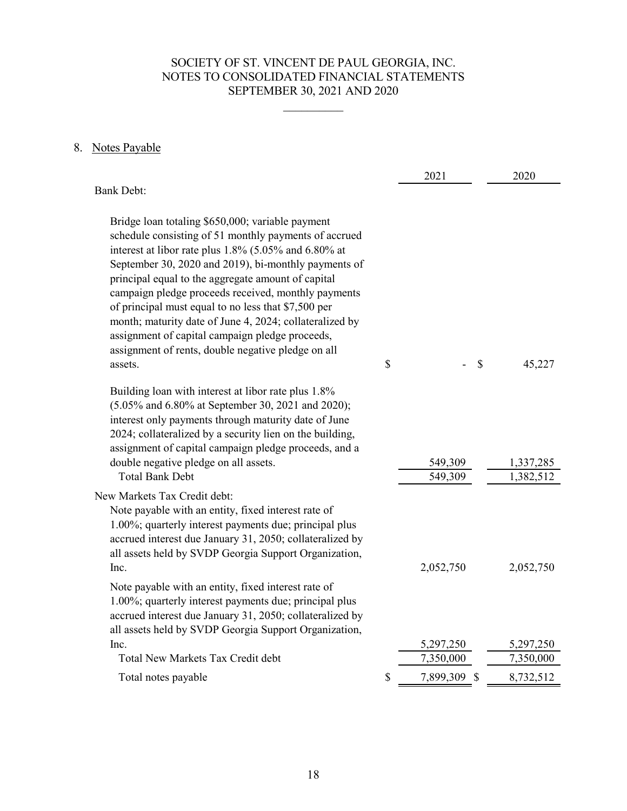# 8. Notes Payable

|                                                                                                                                                                                                                                                                                                                                                                                                                                                                                                                                                                              | 2021               |               | 2020                   |
|------------------------------------------------------------------------------------------------------------------------------------------------------------------------------------------------------------------------------------------------------------------------------------------------------------------------------------------------------------------------------------------------------------------------------------------------------------------------------------------------------------------------------------------------------------------------------|--------------------|---------------|------------------------|
| <b>Bank Debt:</b>                                                                                                                                                                                                                                                                                                                                                                                                                                                                                                                                                            |                    |               |                        |
| Bridge loan totaling \$650,000; variable payment<br>schedule consisting of 51 monthly payments of accrued<br>interest at libor rate plus 1.8% (5.05% and 6.80% at<br>September 30, 2020 and 2019), bi-monthly payments of<br>principal equal to the aggregate amount of capital<br>campaign pledge proceeds received, monthly payments<br>of principal must equal to no less that \$7,500 per<br>month; maturity date of June 4, 2024; collateralized by<br>assignment of capital campaign pledge proceeds,<br>assignment of rents, double negative pledge on all<br>assets. | \$                 | \$            | 45,227                 |
| Building loan with interest at libor rate plus 1.8%<br>(5.05% and 6.80% at September 30, 2021 and 2020);<br>interest only payments through maturity date of June<br>2024; collateralized by a security lien on the building,<br>assignment of capital campaign pledge proceeds, and a<br>double negative pledge on all assets.<br><b>Total Bank Debt</b>                                                                                                                                                                                                                     | 549,309<br>549,309 |               | 1,337,285<br>1,382,512 |
| New Markets Tax Credit debt:<br>Note payable with an entity, fixed interest rate of<br>1.00%; quarterly interest payments due; principal plus<br>accrued interest due January 31, 2050; collateralized by<br>all assets held by SVDP Georgia Support Organization,<br>Inc.                                                                                                                                                                                                                                                                                                   | 2,052,750          |               | 2,052,750              |
| Note payable with an entity, fixed interest rate of<br>1.00%; quarterly interest payments due; principal plus<br>accrued interest due January 31, 2050; collateralized by<br>all assets held by SVDP Georgia Support Organization,<br>Inc.                                                                                                                                                                                                                                                                                                                                   | 5,297,250          |               | 5,297,250              |
| <b>Total New Markets Tax Credit debt</b>                                                                                                                                                                                                                                                                                                                                                                                                                                                                                                                                     | 7,350,000          |               | 7,350,000              |
| Total notes payable                                                                                                                                                                                                                                                                                                                                                                                                                                                                                                                                                          | \$<br>7,899,309    | $\mathcal{S}$ | 8,732,512              |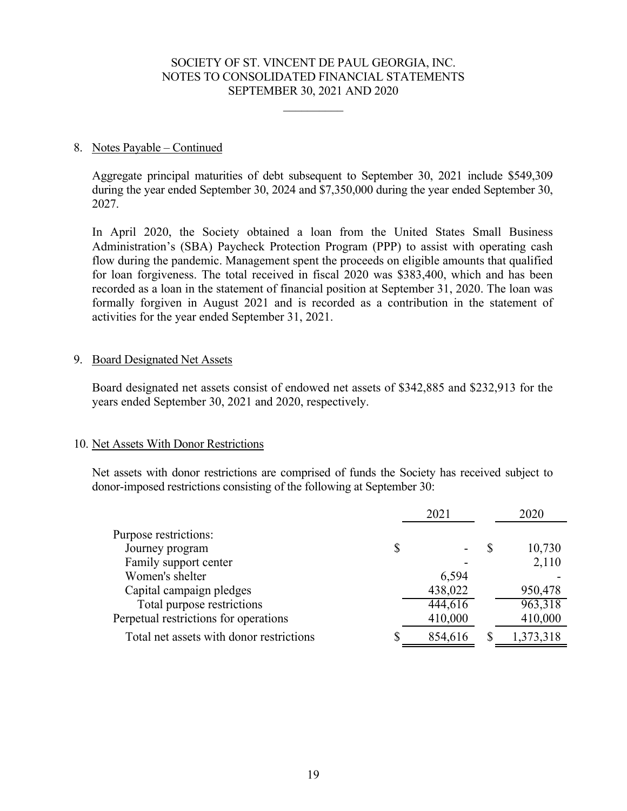#### 8. Notes Payable – Continued

 Aggregate principal maturities of debt subsequent to September 30, 2021 include \$549,309 during the year ended September 30, 2024 and \$7,350,000 during the year ended September 30, 2027.

In April 2020, the Society obtained a loan from the United States Small Business Administration's (SBA) Paycheck Protection Program (PPP) to assist with operating cash flow during the pandemic. Management spent the proceeds on eligible amounts that qualified for loan forgiveness. The total received in fiscal 2020 was \$383,400, which and has been recorded as a loan in the statement of financial position at September 31, 2020. The loan was formally forgiven in August 2021 and is recorded as a contribution in the statement of activities for the year ended September 31, 2021.

#### 9. Board Designated Net Assets

 Board designated net assets consist of endowed net assets of \$342,885 and \$232,913 for the years ended September 30, 2021 and 2020, respectively.

## 10. Net Assets With Donor Restrictions

 Net assets with donor restrictions are comprised of funds the Society has received subject to donor-imposed restrictions consisting of the following at September 30:

|                                          | 2021    |   | 2020      |
|------------------------------------------|---------|---|-----------|
| Purpose restrictions:                    |         |   |           |
| Journey program                          | \$      | S | 10,730    |
| Family support center                    |         |   | 2,110     |
| Women's shelter                          | 6,594   |   |           |
| Capital campaign pledges                 | 438,022 |   | 950,478   |
| Total purpose restrictions               | 444,616 |   | 963,318   |
| Perpetual restrictions for operations    | 410,000 |   | 410,000   |
| Total net assets with donor restrictions | 854,616 | S | 1,373,318 |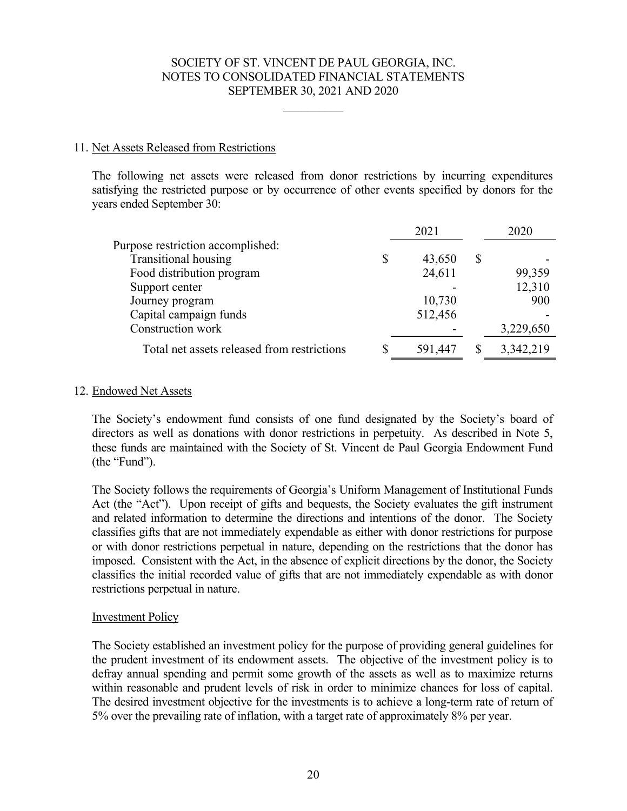#### 11. Net Assets Released from Restrictions

 The following net assets were released from donor restrictions by incurring expenditures satisfying the restricted purpose or by occurrence of other events specified by donors for the years ended September 30:

|                                             | 2021         | 2020      |
|---------------------------------------------|--------------|-----------|
| Purpose restriction accomplished:           |              |           |
| <b>Transitional housing</b>                 | \$<br>43,650 | \$        |
| Food distribution program                   | 24,611       | 99,359    |
| Support center                              |              | 12,310    |
| Journey program                             | 10,730       | 900       |
| Capital campaign funds                      | 512,456      |           |
| Construction work                           |              | 3,229,650 |
| Total net assets released from restrictions | 591,447      | 3,342,219 |

#### 12. Endowed Net Assets

 The Society's endowment fund consists of one fund designated by the Society's board of directors as well as donations with donor restrictions in perpetuity. As described in Note 5, these funds are maintained with the Society of St. Vincent de Paul Georgia Endowment Fund (the "Fund").

 The Society follows the requirements of Georgia's Uniform Management of Institutional Funds Act (the "Act"). Upon receipt of gifts and bequests, the Society evaluates the gift instrument and related information to determine the directions and intentions of the donor. The Society classifies gifts that are not immediately expendable as either with donor restrictions for purpose or with donor restrictions perpetual in nature, depending on the restrictions that the donor has imposed. Consistent with the Act, in the absence of explicit directions by the donor, the Society classifies the initial recorded value of gifts that are not immediately expendable as with donor restrictions perpetual in nature.

## **Investment Policy**

 The Society established an investment policy for the purpose of providing general guidelines for the prudent investment of its endowment assets. The objective of the investment policy is to defray annual spending and permit some growth of the assets as well as to maximize returns within reasonable and prudent levels of risk in order to minimize chances for loss of capital. The desired investment objective for the investments is to achieve a long-term rate of return of 5% over the prevailing rate of inflation, with a target rate of approximately 8% per year.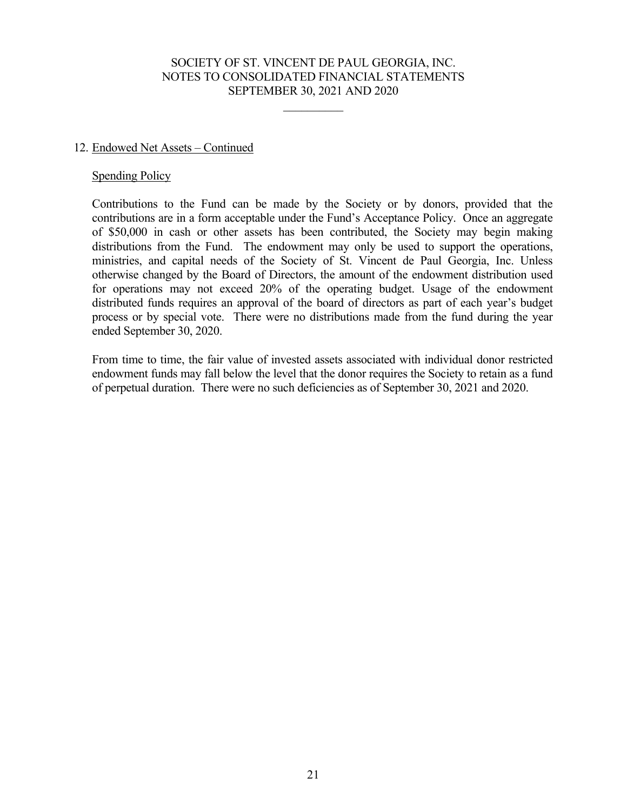## 12. Endowed Net Assets – Continued

#### Spending Policy

 Contributions to the Fund can be made by the Society or by donors, provided that the contributions are in a form acceptable under the Fund's Acceptance Policy. Once an aggregate of \$50,000 in cash or other assets has been contributed, the Society may begin making distributions from the Fund. The endowment may only be used to support the operations, ministries, and capital needs of the Society of St. Vincent de Paul Georgia, Inc. Unless otherwise changed by the Board of Directors, the amount of the endowment distribution used for operations may not exceed 20% of the operating budget. Usage of the endowment distributed funds requires an approval of the board of directors as part of each year's budget process or by special vote. There were no distributions made from the fund during the year ended September 30, 2020.

 From time to time, the fair value of invested assets associated with individual donor restricted endowment funds may fall below the level that the donor requires the Society to retain as a fund of perpetual duration. There were no such deficiencies as of September 30, 2021 and 2020.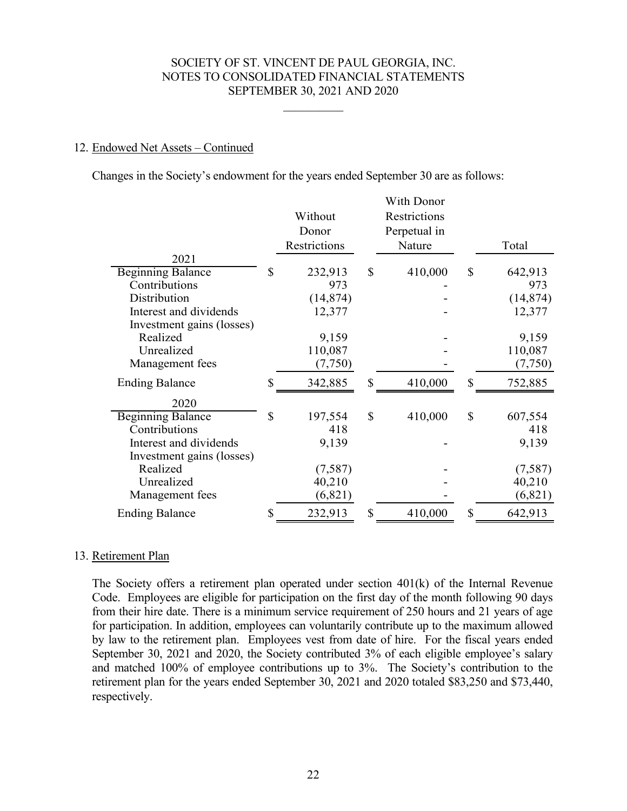#### 12. Endowed Net Assets – Continued

Changes in the Society's endowment for the years ended September 30 are as follows:

|                           |               |              |               | With Donor   |               |           |
|---------------------------|---------------|--------------|---------------|--------------|---------------|-----------|
|                           |               | Without      |               | Restrictions |               |           |
|                           |               | Donor        |               | Perpetual in |               |           |
|                           |               | Restrictions |               | Nature       |               | Total     |
| 2021                      |               |              |               |              |               |           |
| <b>Beginning Balance</b>  | \$            | 232,913      | \$            | 410,000      | \$            | 642,913   |
| Contributions             |               | 973          |               |              |               | 973       |
| Distribution              |               | (14, 874)    |               |              |               | (14, 874) |
| Interest and dividends    |               | 12,377       |               |              |               | 12,377    |
| Investment gains (losses) |               |              |               |              |               |           |
| Realized                  |               | 9,159        |               |              |               | 9,159     |
| Unrealized                |               | 110,087      |               |              |               | 110,087   |
| Management fees           |               | (7,750)      |               |              |               | (7,750)   |
| <b>Ending Balance</b>     | <sup>\$</sup> | 342,885      | \$            | 410,000      | $\mathbf S$   | 752,885   |
| 2020                      |               |              |               |              |               |           |
| <b>Beginning Balance</b>  | \$            | 197,554      | $\mathcal{S}$ | 410,000      | $\mathcal{S}$ | 607,554   |
| Contributions             |               | 418          |               |              |               | 418       |
| Interest and dividends    |               | 9,139        |               |              |               | 9,139     |
| Investment gains (losses) |               |              |               |              |               |           |
| Realized                  |               | (7,587)      |               |              |               | (7,587)   |
| Unrealized                |               | 40,210       |               |              |               | 40,210    |
| Management fees           |               | (6,821)      |               |              |               | (6,821)   |
| <b>Ending Balance</b>     | \$            | 232,913      | \$            | 410,000      | \$            | 642,913   |

#### 13. Retirement Plan

 The Society offers a retirement plan operated under section 401(k) of the Internal Revenue Code. Employees are eligible for participation on the first day of the month following 90 days from their hire date. There is a minimum service requirement of 250 hours and 21 years of age for participation. In addition, employees can voluntarily contribute up to the maximum allowed by law to the retirement plan. Employees vest from date of hire. For the fiscal years ended September 30, 2021 and 2020, the Society contributed 3% of each eligible employee's salary and matched 100% of employee contributions up to 3%. The Society's contribution to the retirement plan for the years ended September 30, 2021 and 2020 totaled \$83,250 and \$73,440, respectively.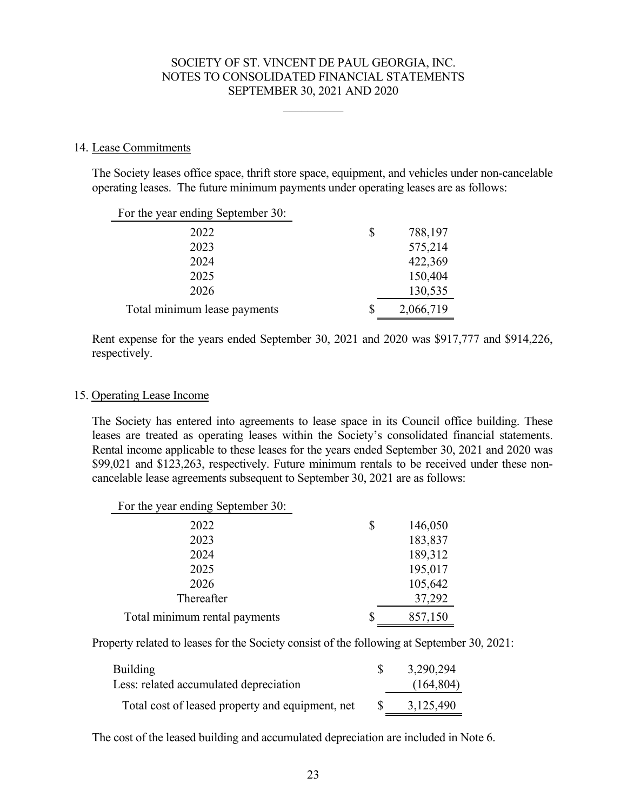#### 14. Lease Commitments

 The Society leases office space, thrift store space, equipment, and vehicles under non-cancelable operating leases. The future minimum payments under operating leases are as follows:

| For the year ending September 30: |               |
|-----------------------------------|---------------|
| 2022                              | \$<br>788,197 |
| 2023                              | 575,214       |
| 2024                              | 422,369       |
| 2025                              | 150,404       |
| 2026                              | 130,535       |
| Total minimum lease payments      | 2,066,719     |

 Rent expense for the years ended September 30, 2021 and 2020 was \$917,777 and \$914,226, respectively.

#### 15. Operating Lease Income

 The Society has entered into agreements to lease space in its Council office building. These leases are treated as operating leases within the Society's consolidated financial statements. Rental income applicable to these leases for the years ended September 30, 2021 and 2020 was \$99,021 and \$123,263, respectively. Future minimum rentals to be received under these noncancelable lease agreements subsequent to September 30, 2021 are as follows:

| For the year ending September 30: |    |         |
|-----------------------------------|----|---------|
| 2022                              | \$ | 146,050 |
| 2023                              |    | 183,837 |
| 2024                              |    | 189,312 |
| 2025                              |    | 195,017 |
| 2026                              |    | 105,642 |
| Thereafter                        |    | 37,292  |
| Total minimum rental payments     | S  | 857,150 |

Property related to leases for the Society consist of the following at September 30, 2021:

| Building                                         | 3,290,294  |
|--------------------------------------------------|------------|
| Less: related accumulated depreciation           | (164, 804) |
| Total cost of leased property and equipment, net | 3,125,490  |

The cost of the leased building and accumulated depreciation are included in Note 6.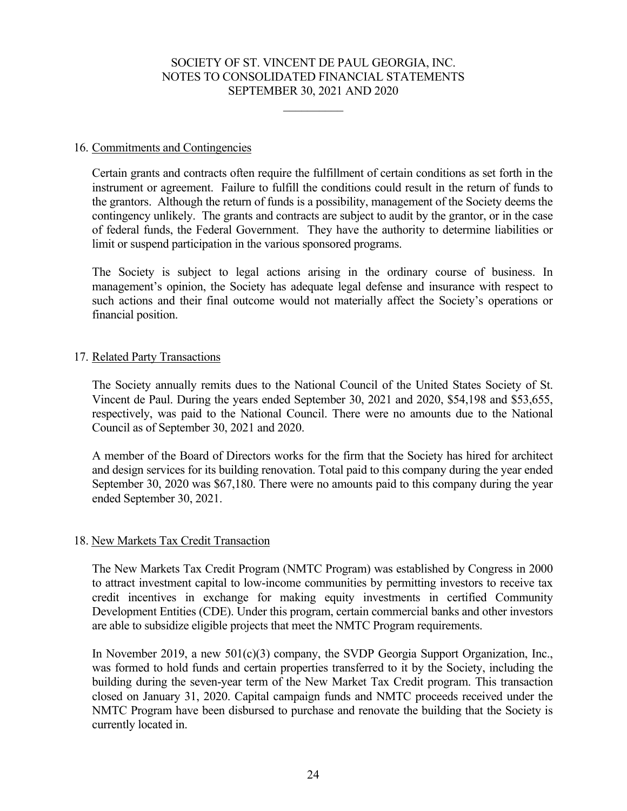## 16. Commitments and Contingencies

 Certain grants and contracts often require the fulfillment of certain conditions as set forth in the instrument or agreement. Failure to fulfill the conditions could result in the return of funds to the grantors. Although the return of funds is a possibility, management of the Society deems the contingency unlikely. The grants and contracts are subject to audit by the grantor, or in the case of federal funds, the Federal Government. They have the authority to determine liabilities or limit or suspend participation in the various sponsored programs.

 The Society is subject to legal actions arising in the ordinary course of business. In management's opinion, the Society has adequate legal defense and insurance with respect to such actions and their final outcome would not materially affect the Society's operations or financial position.

## 17. Related Party Transactions

 The Society annually remits dues to the National Council of the United States Society of St. Vincent de Paul. During the years ended September 30, 2021 and 2020, \$54,198 and \$53,655, respectively, was paid to the National Council. There were no amounts due to the National Council as of September 30, 2021 and 2020.

 A member of the Board of Directors works for the firm that the Society has hired for architect and design services for its building renovation. Total paid to this company during the year ended September 30, 2020 was \$67,180. There were no amounts paid to this company during the year ended September 30, 2021.

## 18. New Markets Tax Credit Transaction

 The New Markets Tax Credit Program (NMTC Program) was established by Congress in 2000 to attract investment capital to low-income communities by permitting investors to receive tax credit incentives in exchange for making equity investments in certified Community Development Entities (CDE). Under this program, certain commercial banks and other investors are able to subsidize eligible projects that meet the NMTC Program requirements.

 In November 2019, a new 501(c)(3) company, the SVDP Georgia Support Organization, Inc., was formed to hold funds and certain properties transferred to it by the Society, including the building during the seven-year term of the New Market Tax Credit program. This transaction closed on January 31, 2020. Capital campaign funds and NMTC proceeds received under the NMTC Program have been disbursed to purchase and renovate the building that the Society is currently located in.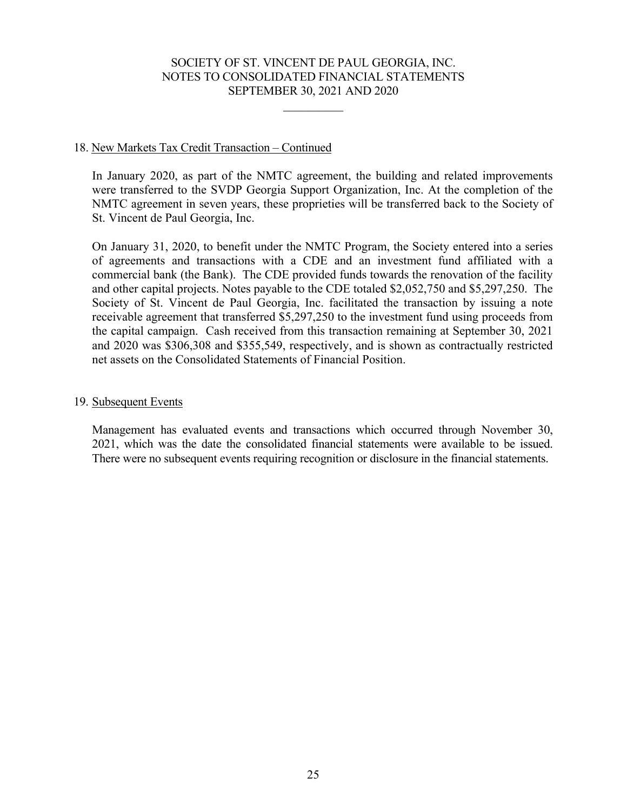#### 18. New Markets Tax Credit Transaction – Continued

 In January 2020, as part of the NMTC agreement, the building and related improvements were transferred to the SVDP Georgia Support Organization, Inc. At the completion of the NMTC agreement in seven years, these proprieties will be transferred back to the Society of St. Vincent de Paul Georgia, Inc.

 On January 31, 2020, to benefit under the NMTC Program, the Society entered into a series of agreements and transactions with a CDE and an investment fund affiliated with a commercial bank (the Bank). The CDE provided funds towards the renovation of the facility and other capital projects. Notes payable to the CDE totaled \$2,052,750 and \$5,297,250. The Society of St. Vincent de Paul Georgia, Inc. facilitated the transaction by issuing a note receivable agreement that transferred \$5,297,250 to the investment fund using proceeds from the capital campaign. Cash received from this transaction remaining at September 30, 2021 and 2020 was \$306,308 and \$355,549, respectively, and is shown as contractually restricted net assets on the Consolidated Statements of Financial Position.

#### 19. Subsequent Events

 Management has evaluated events and transactions which occurred through November 30, 2021, which was the date the consolidated financial statements were available to be issued. There were no subsequent events requiring recognition or disclosure in the financial statements.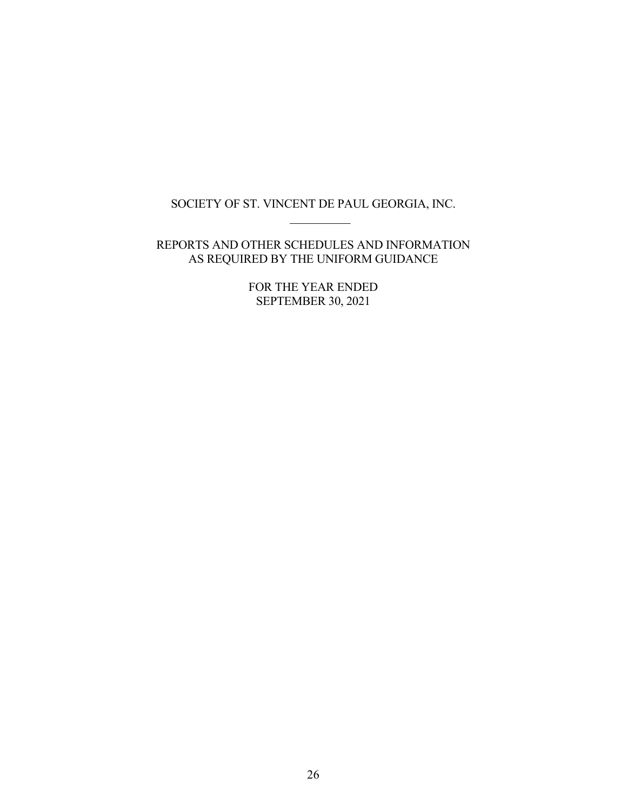# SOCIETY OF ST. VINCENT DE PAUL GEORGIA, INC.

 $\overline{\phantom{a}}$ 

REPORTS AND OTHER SCHEDULES AND INFORMATION AS REQUIRED BY THE UNIFORM GUIDANCE

> FOR THE YEAR ENDED SEPTEMBER 30, 2021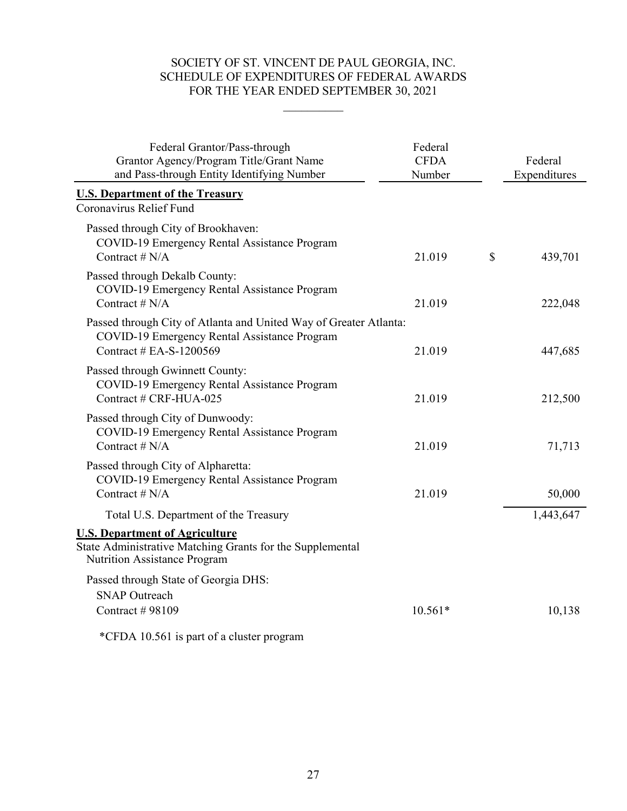# SOCIETY OF ST. VINCENT DE PAUL GEORGIA, INC. SCHEDULE OF EXPENDITURES OF FEDERAL AWARDS FOR THE YEAR ENDED SEPTEMBER 30, 2021

| Federal Grantor/Pass-through<br>Grantor Agency/Program Title/Grant Name<br>and Pass-through Entity Identifying Number                        | Federal<br><b>CFDA</b><br>Number |              | Federal<br>Expenditures |
|----------------------------------------------------------------------------------------------------------------------------------------------|----------------------------------|--------------|-------------------------|
| <b>U.S. Department of the Treasury</b>                                                                                                       |                                  |              |                         |
| Coronavirus Relief Fund                                                                                                                      |                                  |              |                         |
| Passed through City of Brookhaven:<br>COVID-19 Emergency Rental Assistance Program<br>Contract $\# N/A$                                      | 21.019                           | $\mathbb{S}$ | 439,701                 |
| Passed through Dekalb County:<br>COVID-19 Emergency Rental Assistance Program<br>Contract # $N/A$                                            | 21.019                           |              | 222,048                 |
| Passed through City of Atlanta and United Way of Greater Atlanta:<br>COVID-19 Emergency Rental Assistance Program<br>Contract # EA-S-1200569 | 21.019                           |              | 447,685                 |
| Passed through Gwinnett County:<br>COVID-19 Emergency Rental Assistance Program<br>Contract # CRF-HUA-025                                    | 21.019                           |              | 212,500                 |
| Passed through City of Dunwoody:<br>COVID-19 Emergency Rental Assistance Program<br>Contract # $N/A$                                         | 21.019                           |              | 71,713                  |
| Passed through City of Alpharetta:<br>COVID-19 Emergency Rental Assistance Program<br>Contract # $N/A$                                       | 21.019                           |              | 50,000                  |
| Total U.S. Department of the Treasury                                                                                                        |                                  |              | 1,443,647               |
| <b>U.S. Department of Agriculture</b><br>State Administrative Matching Grants for the Supplemental<br><b>Nutrition Assistance Program</b>    |                                  |              |                         |
| Passed through State of Georgia DHS:<br><b>SNAP Outreach</b>                                                                                 |                                  |              |                         |
| Contract #98109                                                                                                                              | $10.561*$                        |              | 10,138                  |
| *CFDA 10.561 is part of a cluster program                                                                                                    |                                  |              |                         |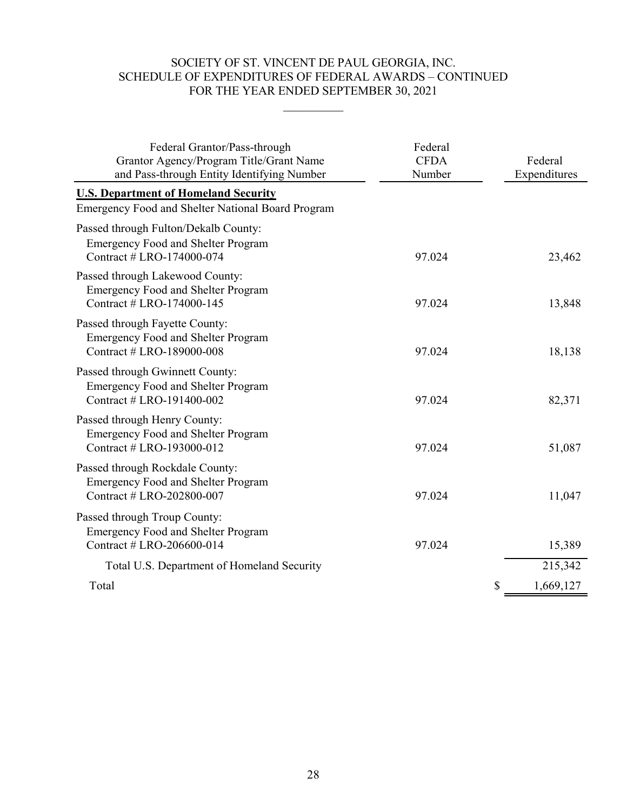# SOCIETY OF ST. VINCENT DE PAUL GEORGIA, INC. SCHEDULE OF EXPENDITURES OF FEDERAL AWARDS – CONTINUED FOR THE YEAR ENDED SEPTEMBER 30, 2021

| Federal Grantor/Pass-through<br>Grantor Agency/Program Title/Grant Name<br>and Pass-through Entity Identifying Number | Federal<br><b>CFDA</b><br>Number | Federal<br>Expenditures |
|-----------------------------------------------------------------------------------------------------------------------|----------------------------------|-------------------------|
| <b>U.S. Department of Homeland Security</b><br><b>Emergency Food and Shelter National Board Program</b>               |                                  |                         |
| Passed through Fulton/Dekalb County:<br><b>Emergency Food and Shelter Program</b><br>Contract # LRO-174000-074        | 97.024                           | 23,462                  |
| Passed through Lakewood County:<br><b>Emergency Food and Shelter Program</b><br>Contract # LRO-174000-145             | 97.024                           | 13,848                  |
| Passed through Fayette County:<br><b>Emergency Food and Shelter Program</b><br>Contract # LRO-189000-008              | 97.024                           | 18,138                  |
| Passed through Gwinnett County:<br><b>Emergency Food and Shelter Program</b><br>Contract # LRO-191400-002             | 97.024                           | 82,371                  |
| Passed through Henry County:<br><b>Emergency Food and Shelter Program</b><br>Contract # LRO-193000-012                | 97.024                           | 51,087                  |
| Passed through Rockdale County:<br><b>Emergency Food and Shelter Program</b><br>Contract # LRO-202800-007             | 97.024                           | 11,047                  |
| Passed through Troup County:<br><b>Emergency Food and Shelter Program</b><br>Contract # LRO-206600-014                | 97.024                           | 15,389                  |
| Total U.S. Department of Homeland Security                                                                            |                                  | 215,342                 |
| Total                                                                                                                 |                                  | \$<br>1,669,127         |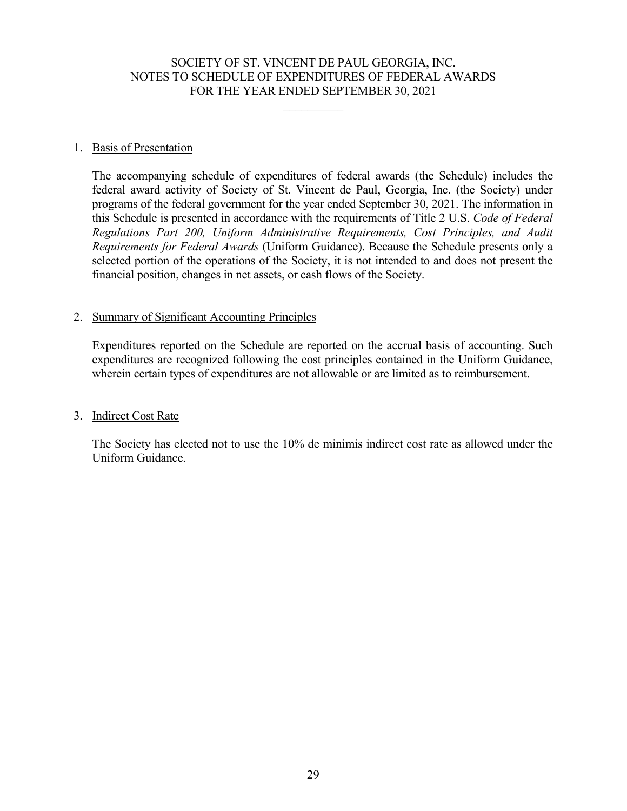# SOCIETY OF ST. VINCENT DE PAUL GEORGIA, INC. NOTES TO SCHEDULE OF EXPENDITURES OF FEDERAL AWARDS FOR THE YEAR ENDED SEPTEMBER 30, 2021

#### 1. Basis of Presentation

The accompanying schedule of expenditures of federal awards (the Schedule) includes the federal award activity of Society of St. Vincent de Paul, Georgia, Inc. (the Society) under programs of the federal government for the year ended September 30, 2021. The information in this Schedule is presented in accordance with the requirements of Title 2 U.S. *Code of Federal Regulations Part 200, Uniform Administrative Requirements, Cost Principles, and Audit Requirements for Federal Awards* (Uniform Guidance). Because the Schedule presents only a selected portion of the operations of the Society, it is not intended to and does not present the financial position, changes in net assets, or cash flows of the Society.

## 2. Summary of Significant Accounting Principles

Expenditures reported on the Schedule are reported on the accrual basis of accounting. Such expenditures are recognized following the cost principles contained in the Uniform Guidance, wherein certain types of expenditures are not allowable or are limited as to reimbursement.

## 3. Indirect Cost Rate

The Society has elected not to use the 10% de minimis indirect cost rate as allowed under the Uniform Guidance.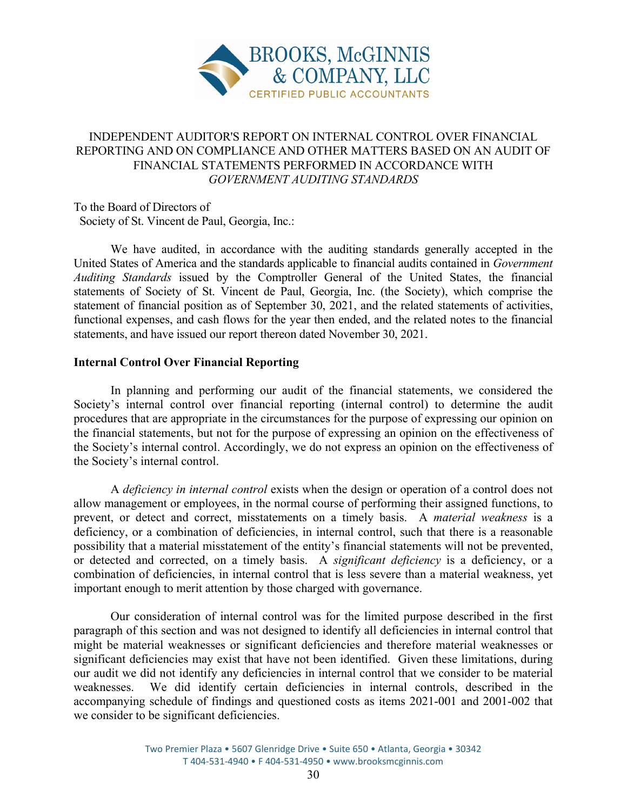

# INDEPENDENT AUDITOR'S REPORT ON INTERNAL CONTROL OVER FINANCIAL REPORTING AND ON COMPLIANCE AND OTHER MATTERS BASED ON AN AUDIT OF FINANCIAL STATEMENTS PERFORMED IN ACCORDANCE WITH *GOVERNMENT AUDITING STANDARDS*

To the Board of Directors of Society of St. Vincent de Paul, Georgia, Inc.:

 We have audited, in accordance with the auditing standards generally accepted in the United States of America and the standards applicable to financial audits contained in *Government Auditing Standards* issued by the Comptroller General of the United States, the financial statements of Society of St. Vincent de Paul, Georgia, Inc. (the Society), which comprise the statement of financial position as of September 30, 2021, and the related statements of activities, functional expenses, and cash flows for the year then ended, and the related notes to the financial statements, and have issued our report thereon dated November 30, 2021.

#### **Internal Control Over Financial Reporting**

 In planning and performing our audit of the financial statements, we considered the Society's internal control over financial reporting (internal control) to determine the audit procedures that are appropriate in the circumstances for the purpose of expressing our opinion on the financial statements, but not for the purpose of expressing an opinion on the effectiveness of the Society's internal control. Accordingly, we do not express an opinion on the effectiveness of the Society's internal control.

 A *deficiency in internal control* exists when the design or operation of a control does not allow management or employees, in the normal course of performing their assigned functions, to prevent, or detect and correct, misstatements on a timely basis. A *material weakness* is a deficiency, or a combination of deficiencies, in internal control, such that there is a reasonable possibility that a material misstatement of the entity's financial statements will not be prevented, or detected and corrected, on a timely basis. A *significant deficiency* is a deficiency, or a combination of deficiencies, in internal control that is less severe than a material weakness, yet important enough to merit attention by those charged with governance.

 Our consideration of internal control was for the limited purpose described in the first paragraph of this section and was not designed to identify all deficiencies in internal control that might be material weaknesses or significant deficiencies and therefore material weaknesses or significant deficiencies may exist that have not been identified. Given these limitations, during our audit we did not identify any deficiencies in internal control that we consider to be material weaknesses. We did identify certain deficiencies in internal controls, described in the accompanying schedule of findings and questioned costs as items 2021-001 and 2001-002 that we consider to be significant deficiencies.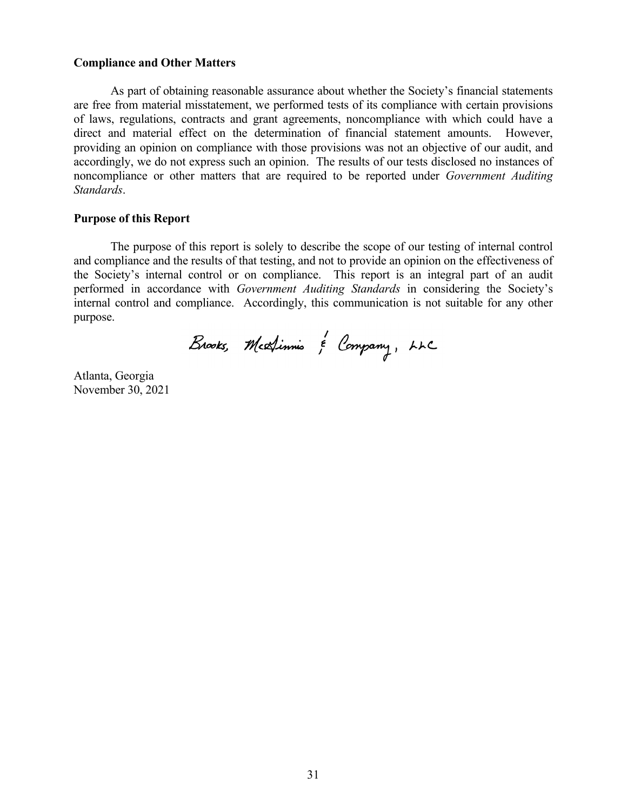#### **Compliance and Other Matters**

 As part of obtaining reasonable assurance about whether the Society's financial statements are free from material misstatement, we performed tests of its compliance with certain provisions of laws, regulations, contracts and grant agreements, noncompliance with which could have a direct and material effect on the determination of financial statement amounts. However, providing an opinion on compliance with those provisions was not an objective of our audit, and accordingly, we do not express such an opinion. The results of our tests disclosed no instances of noncompliance or other matters that are required to be reported under *Government Auditing Standards*.

#### **Purpose of this Report**

 The purpose of this report is solely to describe the scope of our testing of internal control and compliance and the results of that testing, and not to provide an opinion on the effectiveness of the Society's internal control or on compliance. This report is an integral part of an audit performed in accordance with *Government Auditing Standards* in considering the Society's internal control and compliance. Accordingly, this communication is not suitable for any other purpose.

Brooks, Medinnis & Company, LLC

Atlanta, Georgia November 30, 2021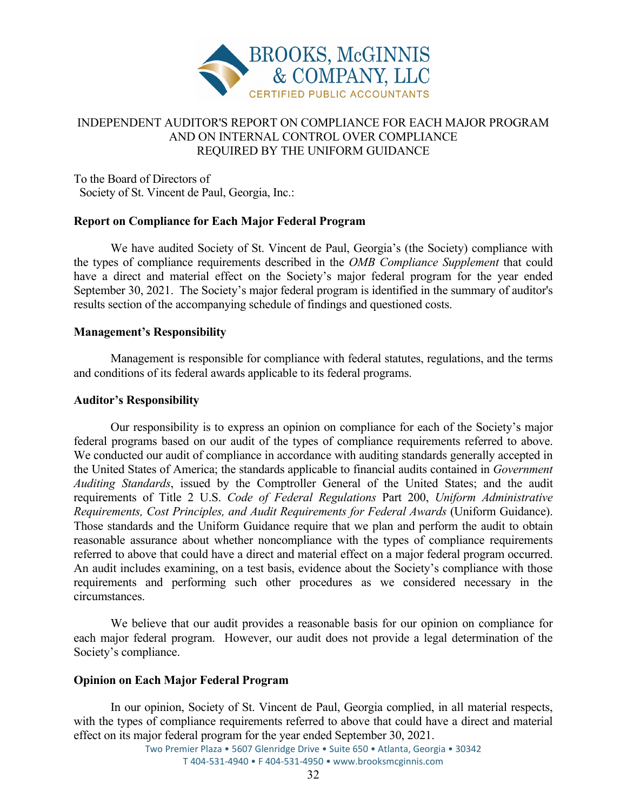

# INDEPENDENT AUDITOR'S REPORT ON COMPLIANCE FOR EACH MAJOR PROGRAM AND ON INTERNAL CONTROL OVER COMPLIANCE REQUIRED BY THE UNIFORM GUIDANCE

To the Board of Directors of Society of St. Vincent de Paul, Georgia, Inc.:

## **Report on Compliance for Each Major Federal Program**

 We have audited Society of St. Vincent de Paul, Georgia's (the Society) compliance with the types of compliance requirements described in the *OMB Compliance Supplement* that could have a direct and material effect on the Society's major federal program for the year ended September 30, 2021. The Society's major federal program is identified in the summary of auditor's results section of the accompanying schedule of findings and questioned costs.

#### **Management's Responsibility**

 Management is responsible for compliance with federal statutes, regulations, and the terms and conditions of its federal awards applicable to its federal programs.

#### **Auditor's Responsibility**

 Our responsibility is to express an opinion on compliance for each of the Society's major federal programs based on our audit of the types of compliance requirements referred to above. We conducted our audit of compliance in accordance with auditing standards generally accepted in the United States of America; the standards applicable to financial audits contained in *Government Auditing Standards*, issued by the Comptroller General of the United States; and the audit requirements of Title 2 U.S. *Code of Federal Regulations* Part 200, *Uniform Administrative Requirements, Cost Principles, and Audit Requirements for Federal Awards* (Uniform Guidance). Those standards and the Uniform Guidance require that we plan and perform the audit to obtain reasonable assurance about whether noncompliance with the types of compliance requirements referred to above that could have a direct and material effect on a major federal program occurred. An audit includes examining, on a test basis, evidence about the Society's compliance with those requirements and performing such other procedures as we considered necessary in the circumstances.

 We believe that our audit provides a reasonable basis for our opinion on compliance for each major federal program. However, our audit does not provide a legal determination of the Society's compliance.

## **Opinion on Each Major Federal Program**

 In our opinion, Society of St. Vincent de Paul, Georgia complied, in all material respects, with the types of compliance requirements referred to above that could have a direct and material effect on its major federal program for the year ended September 30, 2021.

Two Premier Plaza • 5607 Glenridge Drive • Suite 650 • Atlanta, Georgia • 30342

T 404‐531‐4940 • F 404‐531‐4950 • www.brooksmcginnis.com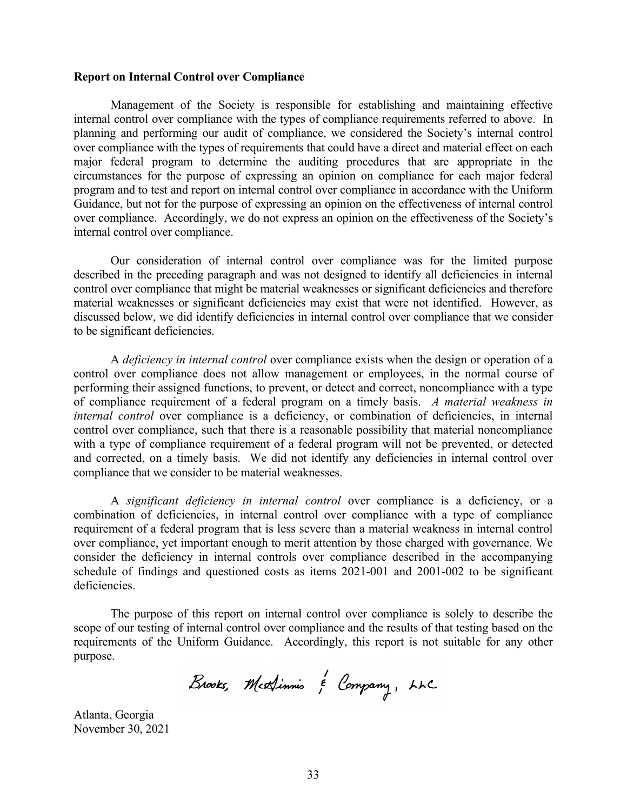#### **Report on Internal Control over Compliance**

 Management of the Society is responsible for establishing and maintaining effective internal control over compliance with the types of compliance requirements referred to above. In planning and performing our audit of compliance, we considered the Society's internal control over compliance with the types of requirements that could have a direct and material effect on each major federal program to determine the auditing procedures that are appropriate in the circumstances for the purpose of expressing an opinion on compliance for each major federal program and to test and report on internal control over compliance in accordance with the Uniform Guidance, but not for the purpose of expressing an opinion on the effectiveness of internal control over compliance. Accordingly, we do not express an opinion on the effectiveness of the Society's internal control over compliance.

Our consideration of internal control over compliance was for the limited purpose described in the preceding paragraph and was not designed to identify all deficiencies in internal control over compliance that might be material weaknesses or significant deficiencies and therefore material weaknesses or significant deficiencies may exist that were not identified. However, as discussed below, we did identify deficiencies in internal control over compliance that we consider to be significant deficiencies.

A *deficiency in internal control* over compliance exists when the design or operation of a control over compliance does not allow management or employees, in the normal course of performing their assigned functions, to prevent, or detect and correct, noncompliance with a type of compliance requirement of a federal program on a timely basis. *A material weakness in internal control* over compliance is a deficiency, or combination of deficiencies, in internal control over compliance, such that there is a reasonable possibility that material noncompliance with a type of compliance requirement of a federal program will not be prevented, or detected and corrected, on a timely basis. We did not identify any deficiencies in internal control over compliance that we consider to be material weaknesses.

A *significant deficiency in internal control* over compliance is a deficiency, or a combination of deficiencies, in internal control over compliance with a type of compliance requirement of a federal program that is less severe than a material weakness in internal control over compliance, yet important enough to merit attention by those charged with governance. We consider the deficiency in internal controls over compliance described in the accompanying schedule of findings and questioned costs as items 2021-001 and 2001-002 to be significant deficiencies.

 The purpose of this report on internal control over compliance is solely to describe the scope of our testing of internal control over compliance and the results of that testing based on the requirements of the Uniform Guidance. Accordingly, this report is not suitable for any other purpose.

Brooks, Mextinnis & Company, LLC

Atlanta, Georgia November 30, 2021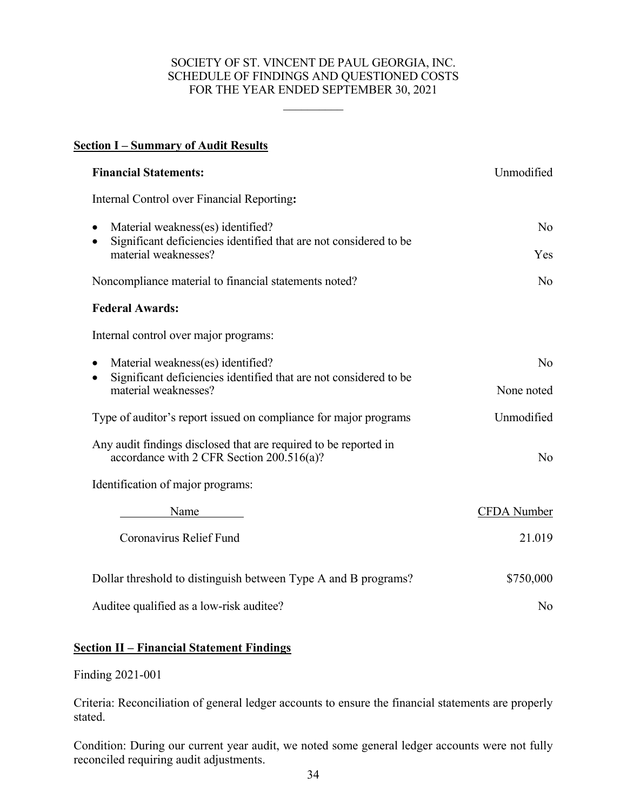## SOCIETY OF ST. VINCENT DE PAUL GEORGIA, INC. SCHEDULE OF FINDINGS AND QUESTIONED COSTS FOR THE YEAR ENDED SEPTEMBER 30, 2021

## **Section I – Summary of Audit Results**

| <b>Financial Statements:</b>                                                                                  | Unmodified  |
|---------------------------------------------------------------------------------------------------------------|-------------|
| Internal Control over Financial Reporting:                                                                    |             |
| Material weakness(es) identified?                                                                             | No          |
| Significant deficiencies identified that are not considered to be<br>$\bullet$<br>material weaknesses?        | Yes         |
| Noncompliance material to financial statements noted?                                                         | No          |
| <b>Federal Awards:</b>                                                                                        |             |
| Internal control over major programs:                                                                         |             |
| Material weakness(es) identified?                                                                             | No          |
| Significant deficiencies identified that are not considered to be<br>٠<br>material weaknesses?                | None noted  |
| Type of auditor's report issued on compliance for major programs                                              | Unmodified  |
| Any audit findings disclosed that are required to be reported in<br>accordance with 2 CFR Section 200.516(a)? | No          |
| Identification of major programs:                                                                             |             |
| Name                                                                                                          | CFDA Number |
| Coronavirus Relief Fund                                                                                       | 21.019      |
| Dollar threshold to distinguish between Type A and B programs?                                                | \$750,000   |
|                                                                                                               |             |
| Auditee qualified as a low-risk auditee?                                                                      | No          |

# **Section II – Financial Statement Findings**

Finding 2021-001

Criteria: Reconciliation of general ledger accounts to ensure the financial statements are properly stated.

Condition: During our current year audit, we noted some general ledger accounts were not fully reconciled requiring audit adjustments.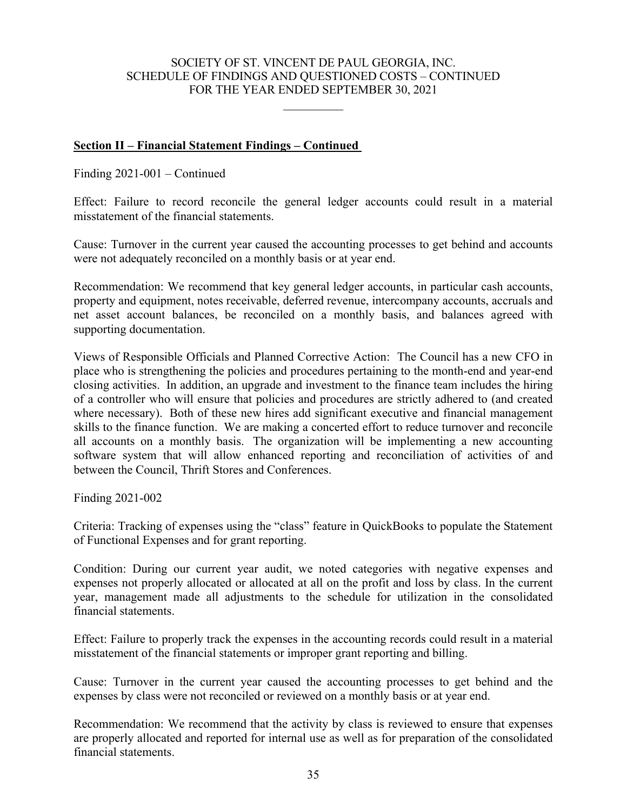## SOCIETY OF ST. VINCENT DE PAUL GEORGIA, INC. SCHEDULE OF FINDINGS AND QUESTIONED COSTS – CONTINUED FOR THE YEAR ENDED SEPTEMBER 30, 2021

## **Section II – Financial Statement Findings – Continued**

Finding 2021-001 – Continued

Effect: Failure to record reconcile the general ledger accounts could result in a material misstatement of the financial statements.

Cause: Turnover in the current year caused the accounting processes to get behind and accounts were not adequately reconciled on a monthly basis or at year end.

Recommendation: We recommend that key general ledger accounts, in particular cash accounts, property and equipment, notes receivable, deferred revenue, intercompany accounts, accruals and net asset account balances, be reconciled on a monthly basis, and balances agreed with supporting documentation.

Views of Responsible Officials and Planned Corrective Action: The Council has a new CFO in place who is strengthening the policies and procedures pertaining to the month-end and year-end closing activities. In addition, an upgrade and investment to the finance team includes the hiring of a controller who will ensure that policies and procedures are strictly adhered to (and created where necessary). Both of these new hires add significant executive and financial management skills to the finance function. We are making a concerted effort to reduce turnover and reconcile all accounts on a monthly basis. The organization will be implementing a new accounting software system that will allow enhanced reporting and reconciliation of activities of and between the Council, Thrift Stores and Conferences.

Finding 2021-002

Criteria: Tracking of expenses using the "class" feature in QuickBooks to populate the Statement of Functional Expenses and for grant reporting.

Condition: During our current year audit, we noted categories with negative expenses and expenses not properly allocated or allocated at all on the profit and loss by class. In the current year, management made all adjustments to the schedule for utilization in the consolidated financial statements.

Effect: Failure to properly track the expenses in the accounting records could result in a material misstatement of the financial statements or improper grant reporting and billing.

Cause: Turnover in the current year caused the accounting processes to get behind and the expenses by class were not reconciled or reviewed on a monthly basis or at year end.

Recommendation: We recommend that the activity by class is reviewed to ensure that expenses are properly allocated and reported for internal use as well as for preparation of the consolidated financial statements.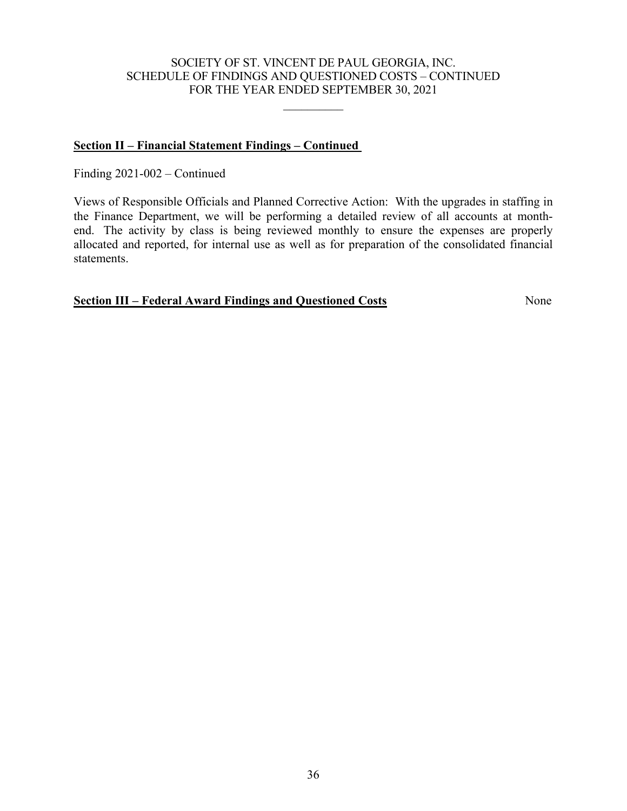## SOCIETY OF ST. VINCENT DE PAUL GEORGIA, INC. SCHEDULE OF FINDINGS AND QUESTIONED COSTS – CONTINUED FOR THE YEAR ENDED SEPTEMBER 30, 2021

## **Section II – Financial Statement Findings – Continued**

Finding 2021-002 – Continued

Views of Responsible Officials and Planned Corrective Action: With the upgrades in staffing in the Finance Department, we will be performing a detailed review of all accounts at monthend. The activity by class is being reviewed monthly to ensure the expenses are properly allocated and reported, for internal use as well as for preparation of the consolidated financial statements.

## **Section III – Federal Award Findings and Questioned Costs None**